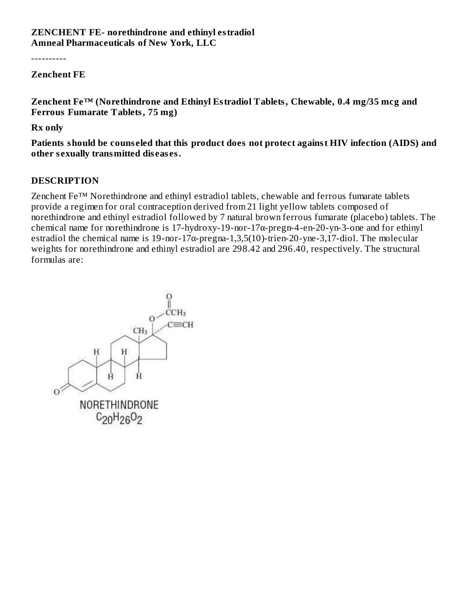#### **ZENCHENT FE- norethindrone and ethinyl estradiol Amneal Pharmaceuticals of New York, LLC**

----------

#### **Zenchent FE**

**Zenchent Fe™ (Norethindrone and Ethinyl Estradiol Tablets, Chewable, 0.4 mg/35 mcg and Ferrous Fumarate Tablets, 75 mg)**

#### **Rx only**

**Patients should be couns eled that this product does not protect against HIV infection (AIDS) and other s exually transmitted dis eas es.**

#### **DESCRIPTION**

Zenchent Fe™ Norethindrone and ethinyl estradiol tablets, chewable and ferrous fumarate tablets provide a regimen for oral contraception derived from 21 light yellow tablets composed of norethindrone and ethinyl estradiol followed by 7 natural brown ferrous fumarate (placebo) tablets. The chemical name for norethindrone is 17-hydroxy-19-nor-17α-pregn-4-en-20-yn-3-one and for ethinyl estradiol the chemical name is 19-nor-17α-pregna-1,3,5(10)-trien-20-yne-3,17-diol. The molecular weights for norethindrone and ethinyl estradiol are 298.42 and 296.40, respectively. The structural formulas are:

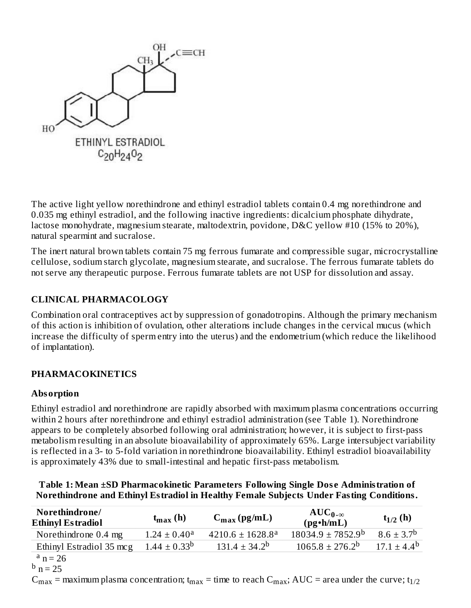

The active light yellow norethindrone and ethinyl estradiol tablets contain 0.4 mg norethindrone and 0.035 mg ethinyl estradiol, and the following inactive ingredients: dicalcium phosphate dihydrate, lactose monohydrate, magnesium stearate, maltodextrin, povidone, D&C yellow #10 (15% to 20%), natural spearmint and sucralose.

The inert natural brown tablets contain 75 mg ferrous fumarate and compressible sugar, microcrystalline cellulose, sodium starch glycolate, magnesium stearate, and sucralose. The ferrous fumarate tablets do not serve any therapeutic purpose. Ferrous fumarate tablets are not USP for dissolution and assay.

## **CLINICAL PHARMACOLOGY**

Combination oral contraceptives act by suppression of gonadotropins. Although the primary mechanism of this action is inhibition of ovulation, other alterations include changes in the cervical mucus (which increase the difficulty of sperm entry into the uterus) and the endometrium (which reduce the likelihood of implantation).

## **PHARMACOKINETICS**

#### **Absorption**

Ethinyl estradiol and norethindrone are rapidly absorbed with maximum plasma concentrations occurring within 2 hours after norethindrone and ethinyl estradiol administration (see Table 1). Norethindrone appears to be completely absorbed following oral administration; however, it is subject to first-pass metabolism resulting in an absolute bioavailability of approximately 65%. Large intersubject variability is reflected in a 3- to 5-fold variation in norethindrone bioavailability. Ethinyl estradiol bioavailability is approximately 43% due to small-intestinal and hepatic first-pass metabolism.

| $t_{\rm max}$ (h) | $C_{\text{max}}$ (pg/mL)                          | $AUC_{0-\infty}$<br>$(pg\cdot h/mL)$ | $t_{1/2}$ (h)          |
|-------------------|---------------------------------------------------|--------------------------------------|------------------------|
|                   |                                                   | $18034.9 \pm 7852.9^{\rm b}$         | $8.6 \pm 3.7^b$        |
|                   | $131.4 \pm 34.2^b$                                | $1065.8 \pm 276.2^b$                 | $17.1 \pm 4.4^{\rm b}$ |
|                   |                                                   |                                      |                        |
|                   |                                                   |                                      |                        |
|                   | $1.24 \pm 0.40$ <sup>a</sup><br>$1.44 \pm 0.33^b$ | $4210.6 \pm 1628.8^a$                |                        |

**Table 1: Mean ±SD Pharmacokinetic Parameters Following Single Dos e Administration of Norethindrone and Ethinyl Estradiol in Healthy Female Subjects Under Fasting Conditions.**

 $C_{max}$  = maximum plasma concentration; t<sub>max</sub> = time to reach  $C_{max}$ ; AUC = area under the curve; t<sub>1/2</sub>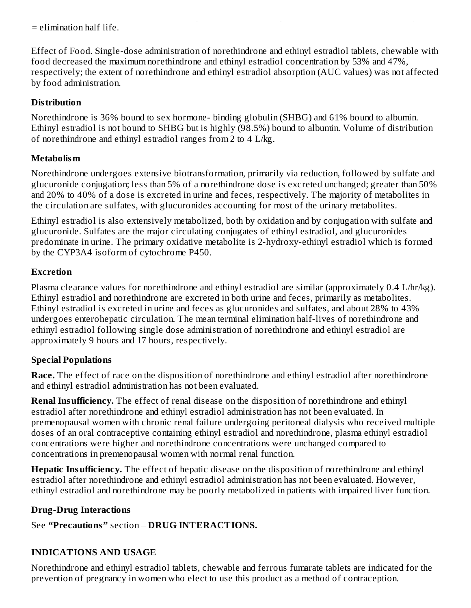Effect of Food. Single-dose administration of norethindrone and ethinyl estradiol tablets, chewable with food decreased the maximum norethindrone and ethinyl estradiol concentration by 53% and 47%, respectively; the extent of norethindrone and ethinyl estradiol absorption (AUC values) was not affected by food administration.

## **Distribution**

Norethindrone is 36% bound to sex hormone- binding globulin (SHBG) and 61% bound to albumin. Ethinyl estradiol is not bound to SHBG but is highly (98.5%) bound to albumin. Volume of distribution of norethindrone and ethinyl estradiol ranges from 2 to 4 L/kg.

## **Metabolism**

Norethindrone undergoes extensive biotransformation, primarily via reduction, followed by sulfate and glucuronide conjugation; less than 5% of a norethindrone dose is excreted unchanged; greater than 50% and 20% to 40% of a dose is excreted in urine and feces, respectively. The majority of metabolites in the circulation are sulfates, with glucuronides accounting for most of the urinary metabolites.

Ethinyl estradiol is also extensively metabolized, both by oxidation and by conjugation with sulfate and glucuronide. Sulfates are the major circulating conjugates of ethinyl estradiol, and glucuronides predominate in urine. The primary oxidative metabolite is 2-hydroxy-ethinyl estradiol which is formed by the CYP3A4 isoform of cytochrome P450.

## **Excretion**

Plasma clearance values for norethindrone and ethinyl estradiol are similar (approximately 0.4 L/hr/kg). Ethinyl estradiol and norethindrone are excreted in both urine and feces, primarily as metabolites. Ethinyl estradiol is excreted in urine and feces as glucuronides and sulfates, and about 28% to 43% undergoes enterohepatic circulation. The mean terminal elimination half-lives of norethindrone and ethinyl estradiol following single dose administration of norethindrone and ethinyl estradiol are approximately 9 hours and 17 hours, respectively.

## **Special Populations**

**Race.** The effect of race on the disposition of norethindrone and ethinyl estradiol after norethindrone and ethinyl estradiol administration has not been evaluated.

**Renal Insufficiency.** The effect of renal disease on the disposition of norethindrone and ethinyl estradiol after norethindrone and ethinyl estradiol administration has not been evaluated. In premenopausal women with chronic renal failure undergoing peritoneal dialysis who received multiple doses of an oral contraceptive containing ethinyl estradiol and norethindrone, plasma ethinyl estradiol concentrations were higher and norethindrone concentrations were unchanged compared to concentrations in premenopausal women with normal renal function.

**Hepatic Insufficiency.** The effect of hepatic disease on the disposition of norethindrone and ethinyl estradiol after norethindrone and ethinyl estradiol administration has not been evaluated. However, ethinyl estradiol and norethindrone may be poorly metabolized in patients with impaired liver function.

## **Drug-Drug Interactions**

See **"Precautions"** section – **DRUG INTERACTIONS.**

## **INDICATIONS AND USAGE**

Norethindrone and ethinyl estradiol tablets, chewable and ferrous fumarate tablets are indicated for the prevention of pregnancy in women who elect to use this product as a method of contraception.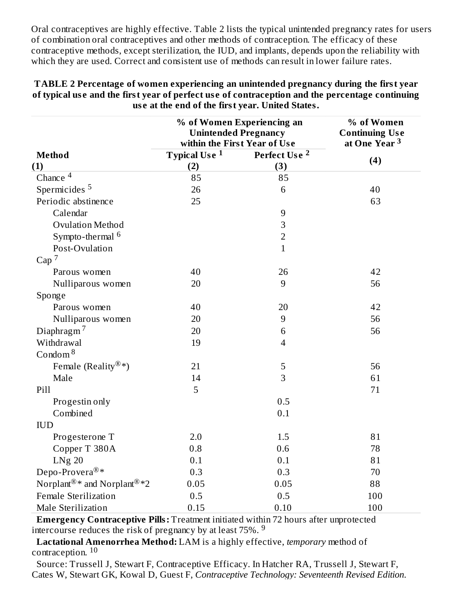Oral contraceptives are highly effective. Table 2 lists the typical unintended pregnancy rates for users of combination oral contraceptives and other methods of contraception. The efficacy of these contraceptive methods, except sterilization, the IUD, and implants, depends upon the reliability with which they are used. Correct and consistent use of methods can result in lower failure rates.

|                                                    | % of Women Experiencing an<br><b>Unintended Pregnancy</b><br>within the First Year of Use | % of Women<br><b>Continuing Use</b><br>at One Year <sup>3</sup> |     |
|----------------------------------------------------|-------------------------------------------------------------------------------------------|-----------------------------------------------------------------|-----|
| <b>Method</b>                                      | <b>Typical Use 1</b>                                                                      | Perfect Use <sup>2</sup>                                        |     |
| (1)                                                | (2)                                                                                       | (3)                                                             | (4) |
| Chance <sup>4</sup>                                | 85                                                                                        | 85                                                              |     |
| Spermicides <sup>5</sup>                           | 26                                                                                        | 6                                                               | 40  |
| Periodic abstinence                                | 25                                                                                        |                                                                 | 63  |
| Calendar                                           |                                                                                           | $\boldsymbol{9}$                                                |     |
| <b>Ovulation Method</b>                            |                                                                                           | 3                                                               |     |
| Sympto-thermal <sup>6</sup>                        |                                                                                           | $\overline{2}$                                                  |     |
| Post-Ovulation                                     |                                                                                           | $\mathbf{1}$                                                    |     |
| Cap $7$                                            |                                                                                           |                                                                 |     |
| Parous women                                       | 40                                                                                        | 26                                                              | 42  |
| Nulliparous women                                  | 20                                                                                        | $\overline{9}$                                                  | 56  |
| Sponge                                             |                                                                                           |                                                                 |     |
| Parous women                                       | 40                                                                                        | 20                                                              | 42  |
| Nulliparous women                                  | 20                                                                                        | $\overline{9}$                                                  | 56  |
| Diaphragm <sup>7</sup>                             | 20                                                                                        | 6                                                               | 56  |
| Withdrawal                                         | 19                                                                                        | $\overline{\mathcal{A}}$                                        |     |
| Condom $8$                                         |                                                                                           |                                                                 |     |
| Female (Reality <sup>®*</sup> )                    | 21                                                                                        | 5                                                               | 56  |
| Male                                               | 14                                                                                        | 3                                                               | 61  |
| Pill                                               | 5                                                                                         |                                                                 | 71  |
| Progestin only                                     |                                                                                           | 0.5                                                             |     |
| Combined                                           |                                                                                           | 0.1                                                             |     |
| <b>IUD</b>                                         |                                                                                           |                                                                 |     |
| Progesterone T                                     | 2.0                                                                                       | 1.5                                                             | 81  |
| Copper T 380A                                      | 0.8                                                                                       | 0.6                                                             | 78  |
| $LNg$ 20                                           | 0.1                                                                                       | 0.1                                                             | 81  |
| Depo-Provera <sup>®*</sup>                         | 0.3                                                                                       | 0.3                                                             | 70  |
| Norplant <sup>®*</sup> and Norplant <sup>®*2</sup> | 0.05                                                                                      | 0.05                                                            | 88  |
| Female Sterilization                               | 0.5                                                                                       | 0.5                                                             | 100 |
| <b>Male Sterilization</b>                          | 0.15                                                                                      | 0.10                                                            | 100 |

**TABLE 2 Percentage of women experiencing an unintended pregnancy during the first year of typical us e and the first year of perfect us e of contraception and the percentage continuing us e at the end of the first year. United States.**

**Emergency Contraceptive Pills:** Treatment initiated within 72 hours after unprotected intercourse reduces the risk of pregnancy by at least 75%. <sup>9</sup>

**Lactational Amenorrhea Method:** LAM is a highly effective, *temporary* method of contraception.  $^{\rm 10}$ 

Source: Trussell J, Stewart F, Contraceptive Efficacy. In Hatcher RA, Trussell J, Stewart F, Cates W, Stewart GK, Kowal D, Guest F, *Contraceptive Technology: Seventeenth Revised Edition.*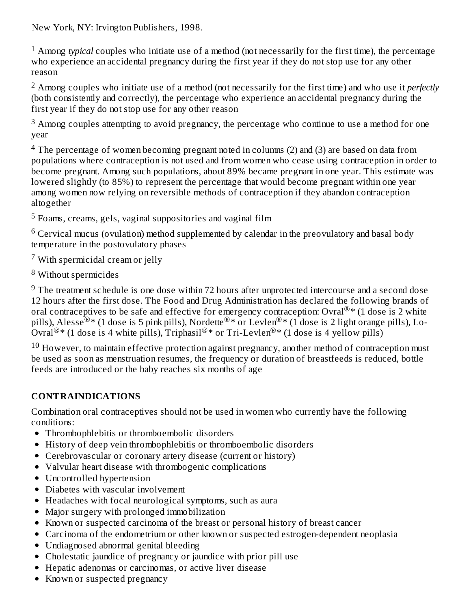<sup>1</sup> Among *typical* couples who initiate use of a method (not necessarily for the first time), the percentage who experience an accidental pregnancy during the first year if they do not stop use for any other reason

Among couples who initiate use of a method (not necessarily for the first time) and who use it *perfectly* 2 (both consistently and correctly), the percentage who experience an accidental pregnancy during the first year if they do not stop use for any other reason

 $3$  Among couples attempting to avoid pregnancy, the percentage who continue to use a method for one year

 $4$  The percentage of women becoming pregnant noted in columns (2) and (3) are based on data from populations where contraception is not used and from women who cease using contraception in order to become pregnant. Among such populations, about 89% became pregnant in one year. This estimate was lowered slightly (to 85%) to represent the percentage that would become pregnant within one year among women now relying on reversible methods of contraception if they abandon contraception altogether

 $5$  Foams, creams, gels, vaginal suppositories and vaginal film

 $6$  Cervical mucus (ovulation) method supplemented by calendar in the preovulatory and basal body temperature in the postovulatory phases

 $7$  With spermicidal cream or jelly

<sup>8</sup> Without spermicides

 $^9$  The treatment schedule is one dose within 72 hours after unprotected intercourse and a second dose 12 hours after the first dose. The Food and Drug Administration has declared the following brands of oral contraceptives to be safe and effective for emergency contraception: Ovral $^{\circledR}*$  (1 dose is 2 white pills), Alesse<sup>®</sup>\* (1 dose is 5 pink pills), Nordette®\* or Levlen<sup>®</sup>\* (1 dose is 2 light orange pills), Lo-Ovral<sup>®</sup>\* (1 dose is 4 white pills), Triphasil<sup>®\*</sup> or Tri-Levlen<sup>®\*</sup> (1 dose is 4 yellow pills)

 $^{10}$  However, to maintain effective protection against pregnancy, another method of contraception must be used as soon as menstruation resumes, the frequency or duration of breastfeeds is reduced, bottle feeds are introduced or the baby reaches six months of age

# **CONTRAINDICATIONS**

Combination oral contraceptives should not be used in women who currently have the following conditions:

- Thrombophlebitis or thromboembolic disorders
- History of deep vein thrombophlebitis or thromboembolic disorders
- Cerebrovascular or coronary artery disease (current or history)
- Valvular heart disease with thrombogenic complications
- Uncontrolled hypertension
- Diabetes with vascular involvement
- Headaches with focal neurological symptoms, such as aura
- Major surgery with prolonged immobilization
- Known or suspected carcinoma of the breast or personal history of breast cancer
- Carcinoma of the endometrium or other known or suspected estrogen-dependent neoplasia
- Undiagnosed abnormal genital bleeding
- Cholestatic jaundice of pregnancy or jaundice with prior pill use
- Hepatic adenomas or carcinomas, or active liver disease
- Known or suspected pregnancy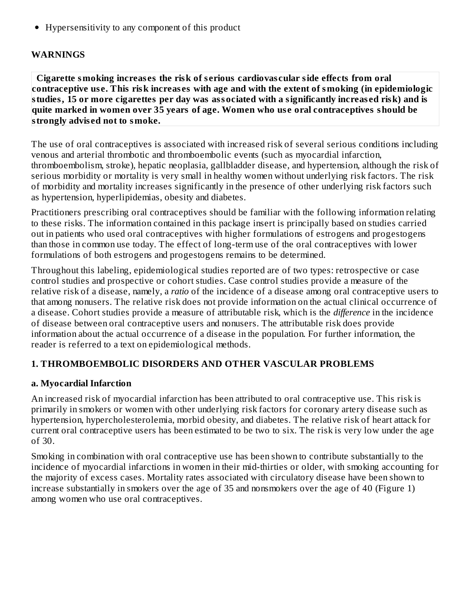Hypersensitivity to any component of this product

#### **WARNINGS**

**Cigarette smoking increas es the risk of s erious cardiovas cular side effects from oral contraceptive us e. This risk increas es with age and with the extent of smoking (in epidemiologic studies, 15 or more cigarettes per day was associated with a significantly increas ed risk) and is quite marked in women over 35 years of age. Women who us e oral contraceptives should be strongly advis ed not to smoke.**

The use of oral contraceptives is associated with increased risk of several serious conditions including venous and arterial thrombotic and thromboembolic events (such as myocardial infarction, thromboembolism, stroke), hepatic neoplasia, gallbladder disease, and hypertension, although the risk of serious morbidity or mortality is very small in healthy women without underlying risk factors. The risk of morbidity and mortality increases significantly in the presence of other underlying risk factors such as hypertension, hyperlipidemias, obesity and diabetes.

Practitioners prescribing oral contraceptives should be familiar with the following information relating to these risks. The information contained in this package insert is principally based on studies carried out in patients who used oral contraceptives with higher formulations of estrogens and progestogens than those in common use today. The effect of long-term use of the oral contraceptives with lower formulations of both estrogens and progestogens remains to be determined.

Throughout this labeling, epidemiological studies reported are of two types: retrospective or case control studies and prospective or cohort studies. Case control studies provide a measure of the relative risk of a disease, namely, a *ratio* of the incidence of a disease among oral contraceptive users to that among nonusers. The relative risk does not provide information on the actual clinical occurrence of a disease. Cohort studies provide a measure of attributable risk, which is the *difference* in the incidence of disease between oral contraceptive users and nonusers. The attributable risk does provide information about the actual occurrence of a disease in the population. For further information, the reader is referred to a text on epidemiological methods.

#### **1. THROMBOEMBOLIC DISORDERS AND OTHER VASCULAR PROBLEMS**

#### **a. Myocardial Infarction**

An increased risk of myocardial infarction has been attributed to oral contraceptive use. This risk is primarily in smokers or women with other underlying risk factors for coronary artery disease such as hypertension, hypercholesterolemia, morbid obesity, and diabetes. The relative risk of heart attack for current oral contraceptive users has been estimated to be two to six. The risk is very low under the age of 30.

Smoking in combination with oral contraceptive use has been shown to contribute substantially to the incidence of myocardial infarctions in women in their mid-thirties or older, with smoking accounting for the majority of excess cases. Mortality rates associated with circulatory disease have been shown to increase substantially in smokers over the age of 35 and nonsmokers over the age of 40 (Figure 1) among women who use oral contraceptives.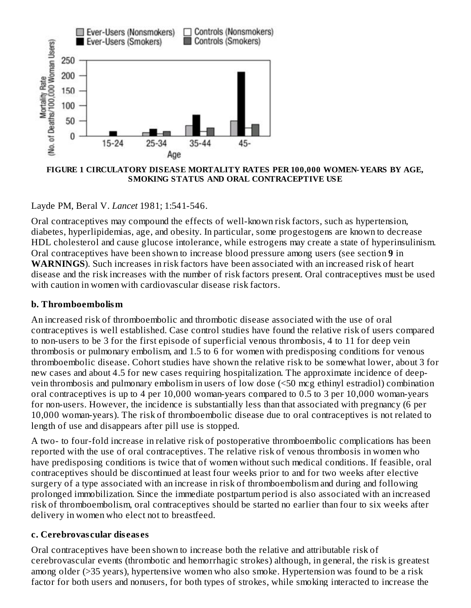

**FIGURE 1 CIRCULATORY DISEASE MORTALITY RATES PER 100,000 WOMEN-YEARS BY AGE, SMOKING STATUS AND ORAL CONTRACEPTIVE USE**

#### Layde PM, Beral V. *Lancet* 1981; 1:541-546.

Oral contraceptives may compound the effects of well-known risk factors, such as hypertension, diabetes, hyperlipidemias, age, and obesity. In particular, some progestogens are known to decrease HDL cholesterol and cause glucose intolerance, while estrogens may create a state of hyperinsulinism. Oral contraceptives have been shown to increase blood pressure among users (see section **9** in **WARNINGS**). Such increases in risk factors have been associated with an increased risk of heart disease and the risk increases with the number of risk factors present. Oral contraceptives must be used with caution in women with cardiovascular disease risk factors.

#### **b. Thromboembolism**

An increased risk of thromboembolic and thrombotic disease associated with the use of oral contraceptives is well established. Case control studies have found the relative risk of users compared to non-users to be 3 for the first episode of superficial venous thrombosis, 4 to 11 for deep vein thrombosis or pulmonary embolism, and 1.5 to 6 for women with predisposing conditions for venous thromboembolic disease. Cohort studies have shown the relative risk to be somewhat lower, about 3 for new cases and about 4.5 for new cases requiring hospitalization. The approximate incidence of deepvein thrombosis and pulmonary embolism in users of low dose (<50 mcg ethinyl estradiol) combination oral contraceptives is up to 4 per 10,000 woman-years compared to 0.5 to 3 per 10,000 woman-years for non-users. However, the incidence is substantially less than that associated with pregnancy (6 per 10,000 woman-years). The risk of thromboembolic disease due to oral contraceptives is not related to length of use and disappears after pill use is stopped.

A two- to four-fold increase in relative risk of postoperative thromboembolic complications has been reported with the use of oral contraceptives. The relative risk of venous thrombosis in women who have predisposing conditions is twice that of women without such medical conditions. If feasible, oral contraceptives should be discontinued at least four weeks prior to and for two weeks after elective surgery of a type associated with an increase in risk of thromboembolism and during and following prolonged immobilization. Since the immediate postpartum period is also associated with an increased risk of thromboembolism, oral contraceptives should be started no earlier than four to six weeks after delivery in women who elect not to breastfeed.

#### **c. Cerebrovas cular dis eas es**

Oral contraceptives have been shown to increase both the relative and attributable risk of cerebrovascular events (thrombotic and hemorrhagic strokes) although, in general, the risk is greatest among older (>35 years), hypertensive women who also smoke. Hypertension was found to be a risk factor for both users and nonusers, for both types of strokes, while smoking interacted to increase the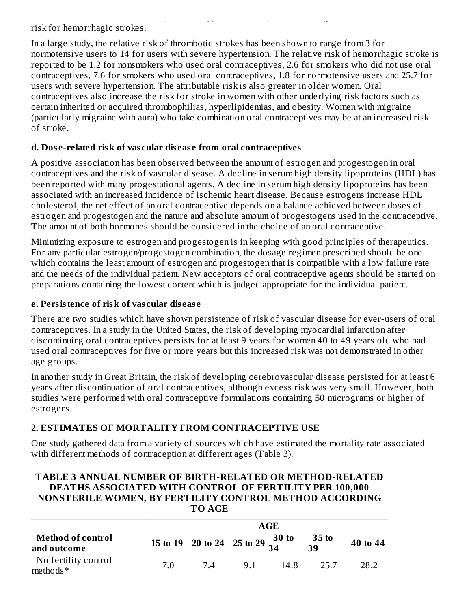factor for both users and nonusers, for both types of strokes, while smoking interacted to increase the risk for hemorrhagic strokes.

In a large study, the relative risk of thrombotic strokes has been shown to range from 3 for normotensive users to 14 for users with severe hypertension. The relative risk of hemorrhagic stroke is reported to be 1.2 for nonsmokers who used oral contraceptives, 2.6 for smokers who did not use oral contraceptives, 7.6 for smokers who used oral contraceptives, 1.8 for normotensive users and 25.7 for users with severe hypertension. The attributable risk is also greater in older women. Oral contraceptives also increase the risk for stroke in women with other underlying risk factors such as certain inherited or acquired thrombophilias, hyperlipidemias, and obesity. Women with migraine (particularly migraine with aura) who take combination oral contraceptives may be at an increased risk of stroke.

#### **d. Dos e-related risk of vas cular dis eas e from oral contraceptives**

A positive association has been observed between the amount of estrogen and progestogen in oral contraceptives and the risk of vascular disease. A decline in serum high density lipoproteins (HDL) has been reported with many progestational agents. A decline in serum high density lipoproteins has been associated with an increased incidence of ischemic heart disease. Because estrogens increase HDL cholesterol, the net effect of an oral contraceptive depends on a balance achieved between doses of estrogen and progestogen and the nature and absolute amount of progestogens used in the contraceptive. The amount of both hormones should be considered in the choice of an oral contraceptive.

Minimizing exposure to estrogen and progestogen is in keeping with good principles of therapeutics. For any particular estrogen/progestogen combination, the dosage regimen prescribed should be one which contains the least amount of estrogen and progestogen that is compatible with a low failure rate and the needs of the individual patient. New acceptors of oral contraceptive agents should be started on preparations containing the lowest content which is judged appropriate for the individual patient.

#### **e. Persistence of risk of vas cular dis eas e**

There are two studies which have shown persistence of risk of vascular disease for ever-users of oral contraceptives. In a study in the United States, the risk of developing myocardial infarction after discontinuing oral contraceptives persists for at least 9 years for women 40 to 49 years old who had used oral contraceptives for five or more years but this increased risk was not demonstrated in other age groups.

In another study in Great Britain, the risk of developing cerebrovascular disease persisted for at least 6 years after discontinuation of oral contraceptives, although excess risk was very small. However, both studies were performed with oral contraceptive formulations containing 50 micrograms or higher of estrogens.

#### **2. ESTIMATES OF MORTALITY FROM CONTRACEPTIVE USE**

One study gathered data from a variety of sources which have estimated the mortality rate associated with different methods of contraception at different ages (Table 3).

#### **TABLE 3 ANNUAL NUMBER OF BIRTH-RELATED OR METHOD-RELATED DEATHS ASSOCIATED WITH CONTROL OF FERTILITY PER 100,000 NONSTERILE WOMEN, BY FERTILITY CONTROL METHOD ACCORDING TO AGE**

|                                         |     | AGE                                           |    |      |                        |          |  |
|-----------------------------------------|-----|-----------------------------------------------|----|------|------------------------|----------|--|
| <b>Method of control</b><br>and outcome |     | 15 to 19 20 to 24 25 to 29 $\frac{30}{34}$ to |    |      | 35 <sub>to</sub><br>39 | 40 to 44 |  |
| No fertility control<br>$methods*$      | 7.0 | 74                                            | 91 | 14 R | 25.7                   | 28 2     |  |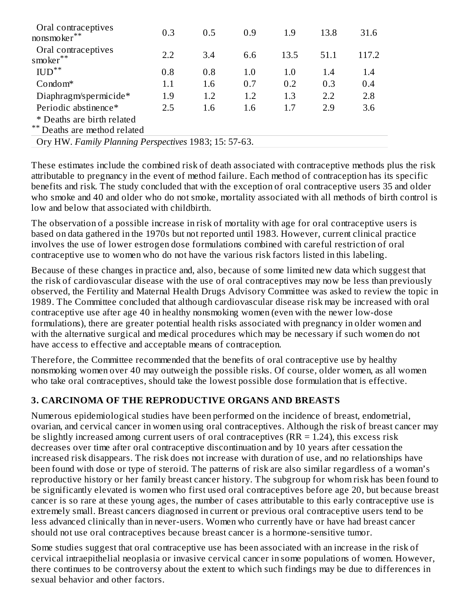| Oral contraceptives<br>nonsmoker**                    | 0.3 | 0.5 | 0.9 | 1.9  | 13.8 | 31.6  |  |  |
|-------------------------------------------------------|-----|-----|-----|------|------|-------|--|--|
| Oral contraceptives<br>smoker**                       | 2.2 | 3.4 | 6.6 | 13.5 | 51.1 | 117.2 |  |  |
| $\mathop{\rm IUD}\nolimits^{**}$                      | 0.8 | 0.8 | 1.0 | 1.0  | 1.4  | 1.4   |  |  |
| $Condom^*$                                            | 1.1 | 1.6 | 0.7 | 0.2  | 0.3  | 0.4   |  |  |
| Diaphragm/spermicide*                                 | 1.9 | 1.2 | 1.2 | 1.3  | 2.2  | 2.8   |  |  |
| Periodic abstinence*                                  | 2.5 | 1.6 | 1.6 | 1.7  | 2.9  | 3.6   |  |  |
| * Deaths are birth related                            |     |     |     |      |      |       |  |  |
| $***$<br>Deaths are method related                    |     |     |     |      |      |       |  |  |
| Ory HW. Family Planning Perspectives 1983; 15: 57-63. |     |     |     |      |      |       |  |  |

These estimates include the combined risk of death associated with contraceptive methods plus the risk attributable to pregnancy in the event of method failure. Each method of contraception has its specific benefits and risk. The study concluded that with the exception of oral contraceptive users 35 and older who smoke and 40 and older who do not smoke, mortality associated with all methods of birth control is low and below that associated with childbirth.

The observation of a possible increase in risk of mortality with age for oral contraceptive users is based on data gathered in the 1970s but not reported until 1983. However, current clinical practice involves the use of lower estrogen dose formulations combined with careful restriction of oral contraceptive use to women who do not have the various risk factors listed in this labeling.

Because of these changes in practice and, also, because of some limited new data which suggest that the risk of cardiovascular disease with the use of oral contraceptives may now be less than previously observed, the Fertility and Maternal Health Drugs Advisory Committee was asked to review the topic in 1989. The Committee concluded that although cardiovascular disease risk may be increased with oral contraceptive use after age 40 in healthy nonsmoking women (even with the newer low-dose formulations), there are greater potential health risks associated with pregnancy in older women and with the alternative surgical and medical procedures which may be necessary if such women do not have access to effective and acceptable means of contraception.

Therefore, the Committee recommended that the benefits of oral contraceptive use by healthy nonsmoking women over 40 may outweigh the possible risks. Of course, older women, as all women who take oral contraceptives, should take the lowest possible dose formulation that is effective.

# **3. CARCINOMA OF THE REPRODUCTIVE ORGANS AND BREASTS**

Numerous epidemiological studies have been performed on the incidence of breast, endometrial, ovarian, and cervical cancer in women using oral contraceptives. Although the risk of breast cancer may be slightly increased among current users of oral contraceptives  $(RR = 1.24)$ , this excess risk decreases over time after oral contraceptive discontinuation and by 10 years after cessation the increased risk disappears. The risk does not increase with duration of use, and no relationships have been found with dose or type of steroid. The patterns of risk are also similar regardless of a woman's reproductive history or her family breast cancer history. The subgroup for whom risk has been found to be significantly elevated is women who first used oral contraceptives before age 20, but because breast cancer is so rare at these young ages, the number of cases attributable to this early contraceptive use is extremely small. Breast cancers diagnosed in current or previous oral contraceptive users tend to be less advanced clinically than in never-users. Women who currently have or have had breast cancer should not use oral contraceptives because breast cancer is a hormone-sensitive tumor.

Some studies suggest that oral contraceptive use has been associated with an increase in the risk of cervical intraepithelial neoplasia or invasive cervical cancer in some populations of women. However, there continues to be controversy about the extent to which such findings may be due to differences in sexual behavior and other factors.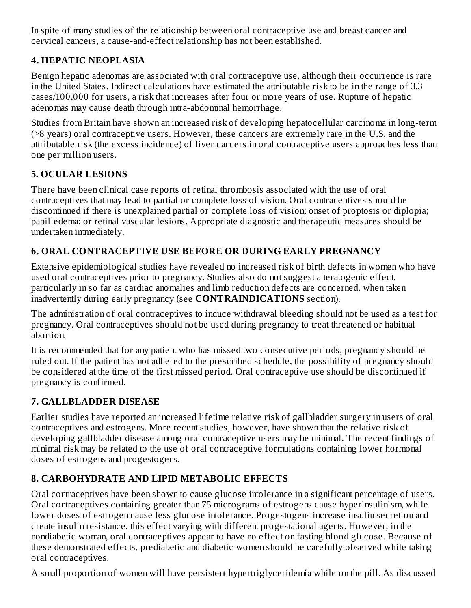In spite of many studies of the relationship between oral contraceptive use and breast cancer and cervical cancers, a cause-and-effect relationship has not been established.

## **4. HEPATIC NEOPLASIA**

Benign hepatic adenomas are associated with oral contraceptive use, although their occurrence is rare in the United States. Indirect calculations have estimated the attributable risk to be in the range of 3.3 cases/100,000 for users, a risk that increases after four or more years of use. Rupture of hepatic adenomas may cause death through intra-abdominal hemorrhage.

Studies from Britain have shown an increased risk of developing hepatocellular carcinoma in long-term (>8 years) oral contraceptive users. However, these cancers are extremely rare in the U.S. and the attributable risk (the excess incidence) of liver cancers in oral contraceptive users approaches less than one per million users.

# **5. OCULAR LESIONS**

There have been clinical case reports of retinal thrombosis associated with the use of oral contraceptives that may lead to partial or complete loss of vision. Oral contraceptives should be discontinued if there is unexplained partial or complete loss of vision; onset of proptosis or diplopia; papilledema; or retinal vascular lesions. Appropriate diagnostic and therapeutic measures should be undertaken immediately.

# **6. ORAL CONTRACEPTIVE USE BEFORE OR DURING EARLY PREGNANCY**

Extensive epidemiological studies have revealed no increased risk of birth defects in women who have used oral contraceptives prior to pregnancy. Studies also do not suggest a teratogenic effect, particularly in so far as cardiac anomalies and limb reduction defects are concerned, when taken inadvertently during early pregnancy (see **CONTRAINDICATIONS** section).

The administration of oral contraceptives to induce withdrawal bleeding should not be used as a test for pregnancy. Oral contraceptives should not be used during pregnancy to treat threatened or habitual abortion.

It is recommended that for any patient who has missed two consecutive periods, pregnancy should be ruled out. If the patient has not adhered to the prescribed schedule, the possibility of pregnancy should be considered at the time of the first missed period. Oral contraceptive use should be discontinued if pregnancy is confirmed.

# **7. GALLBLADDER DISEASE**

Earlier studies have reported an increased lifetime relative risk of gallbladder surgery in users of oral contraceptives and estrogens. More recent studies, however, have shown that the relative risk of developing gallbladder disease among oral contraceptive users may be minimal. The recent findings of minimal risk may be related to the use of oral contraceptive formulations containing lower hormonal doses of estrogens and progestogens.

# **8. CARBOHYDRATE AND LIPID METABOLIC EFFECTS**

Oral contraceptives have been shown to cause glucose intolerance in a significant percentage of users. Oral contraceptives containing greater than 75 micrograms of estrogens cause hyperinsulinism, while lower doses of estrogen cause less glucose intolerance. Progestogens increase insulin secretion and create insulin resistance, this effect varying with different progestational agents. However, in the nondiabetic woman, oral contraceptives appear to have no effect on fasting blood glucose. Because of these demonstrated effects, prediabetic and diabetic women should be carefully observed while taking oral contraceptives.

A small proportion of women will have persistent hypertriglyceridemia while on the pill. As discussed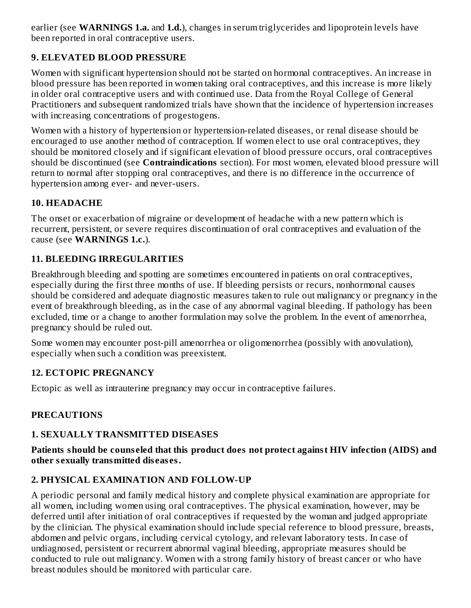earlier (see **WARNINGS 1.a.** and **1.d.**), changes in serum triglycerides and lipoprotein levels have been reported in oral contraceptive users.

# **9. ELEVATED BLOOD PRESSURE**

Women with significant hypertension should not be started on hormonal contraceptives. An increase in blood pressure has been reported in women taking oral contraceptives, and this increase is more likely in older oral contraceptive users and with continued use. Data from the Royal College of General Practitioners and subsequent randomized trials have shown that the incidence of hypertension increases with increasing concentrations of progestogens.

Women with a history of hypertension or hypertension-related diseases, or renal disease should be encouraged to use another method of contraception. If women elect to use oral contraceptives, they should be monitored closely and if significant elevation of blood pressure occurs, oral contraceptives should be discontinued (see **Contraindications** section). For most women, elevated blood pressure will return to normal after stopping oral contraceptives, and there is no difference in the occurrence of hypertension among ever- and never-users.

# **10. HEADACHE**

The onset or exacerbation of migraine or development of headache with a new pattern which is recurrent, persistent, or severe requires discontinuation of oral contraceptives and evaluation of the cause (see **WARNINGS 1.c.**).

# **11. BLEEDING IRREGULARITIES**

Breakthrough bleeding and spotting are sometimes encountered in patients on oral contraceptives, especially during the first three months of use. If bleeding persists or recurs, nonhormonal causes should be considered and adequate diagnostic measures taken to rule out malignancy or pregnancy in the event of breakthrough bleeding, as in the case of any abnormal vaginal bleeding. If pathology has been excluded, time or a change to another formulation may solve the problem. In the event of amenorrhea, pregnancy should be ruled out.

Some women may encounter post-pill amenorrhea or oligomenorrhea (possibly with anovulation), especially when such a condition was preexistent.

# **12. ECTOPIC PREGNANCY**

Ectopic as well as intrauterine pregnancy may occur in contraceptive failures.

# **PRECAUTIONS**

# **1. SEXUALLY TRANSMITTED DISEASES**

#### **Patients should be couns eled that this product does not protect against HIV infection (AIDS) and other s exually transmitted dis eas es.**

# **2. PHYSICAL EXAMINATION AND FOLLOW-UP**

A periodic personal and family medical history and complete physical examination are appropriate for all women, including women using oral contraceptives. The physical examination, however, may be deferred until after initiation of oral contraceptives if requested by the woman and judged appropriate by the clinician. The physical examination should include special reference to blood pressure, breasts, abdomen and pelvic organs, including cervical cytology, and relevant laboratory tests. In case of undiagnosed, persistent or recurrent abnormal vaginal bleeding, appropriate measures should be conducted to rule out malignancy. Women with a strong family history of breast cancer or who have breast nodules should be monitored with particular care.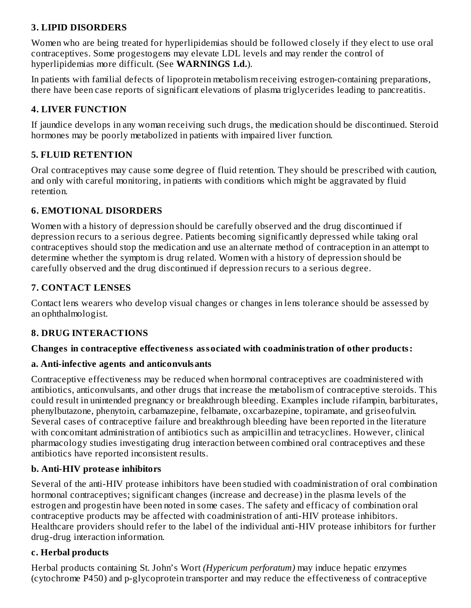# **3. LIPID DISORDERS**

Women who are being treated for hyperlipidemias should be followed closely if they elect to use oral contraceptives. Some progestogens may elevate LDL levels and may render the control of hyperlipidemias more difficult. (See **WARNINGS 1.d.**).

In patients with familial defects of lipoprotein metabolism receiving estrogen-containing preparations, there have been case reports of significant elevations of plasma triglycerides leading to pancreatitis.

#### **4. LIVER FUNCTION**

If jaundice develops in any woman receiving such drugs, the medication should be discontinued. Steroid hormones may be poorly metabolized in patients with impaired liver function.

#### **5. FLUID RETENTION**

Oral contraceptives may cause some degree of fluid retention. They should be prescribed with caution, and only with careful monitoring, in patients with conditions which might be aggravated by fluid retention.

## **6. EMOTIONAL DISORDERS**

Women with a history of depression should be carefully observed and the drug discontinued if depression recurs to a serious degree. Patients becoming significantly depressed while taking oral contraceptives should stop the medication and use an alternate method of contraception in an attempt to determine whether the symptom is drug related. Women with a history of depression should be carefully observed and the drug discontinued if depression recurs to a serious degree.

## **7. CONTACT LENSES**

Contact lens wearers who develop visual changes or changes in lens tolerance should be assessed by an ophthalmologist.

## **8. DRUG INTERACTIONS**

#### **Changes in contraceptive effectiveness associated with coadministration of other products:**

#### **a. Anti-infective agents and anticonvulsants**

Contraceptive effectiveness may be reduced when hormonal contraceptives are coadministered with antibiotics, anticonvulsants, and other drugs that increase the metabolism of contraceptive steroids. This could result in unintended pregnancy or breakthrough bleeding. Examples include rifampin, barbiturates, phenylbutazone, phenytoin, carbamazepine, felbamate, oxcarbazepine, topiramate, and griseofulvin. Several cases of contraceptive failure and breakthrough bleeding have been reported in the literature with concomitant administration of antibiotics such as ampicillin and tetracyclines. However, clinical pharmacology studies investigating drug interaction between combined oral contraceptives and these antibiotics have reported inconsistent results.

## **b. Anti-HIV proteas e inhibitors**

Several of the anti-HIV protease inhibitors have been studied with coadministration of oral combination hormonal contraceptives; significant changes (increase and decrease) in the plasma levels of the estrogen and progestin have been noted in some cases. The safety and efficacy of combination oral contraceptive products may be affected with coadministration of anti-HIV protease inhibitors. Healthcare providers should refer to the label of the individual anti-HIV protease inhibitors for further drug-drug interaction information.

## **c. Herbal products**

Herbal products containing St. John's Wort *(Hypericum perforatum)* may induce hepatic enzymes (cytochrome P450) and p-glycoprotein transporter and may reduce the effectiveness of contraceptive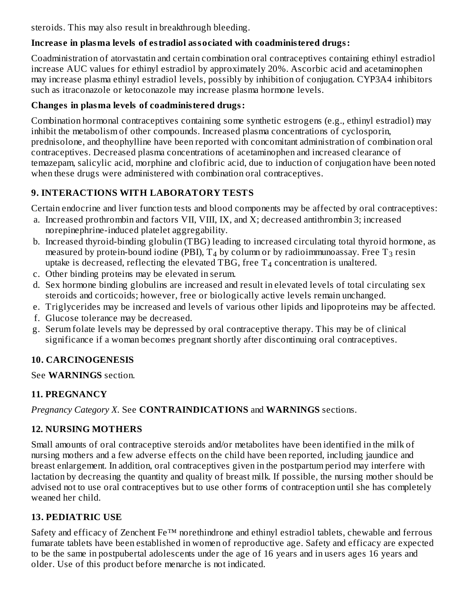steroids. This may also result in breakthrough bleeding.

# **Increas e in plasma levels of estradiol associated with coadministered drugs:**

Coadministration of atorvastatin and certain combination oral contraceptives containing ethinyl estradiol increase AUC values for ethinyl estradiol by approximately 20%. Ascorbic acid and acetaminophen may increase plasma ethinyl estradiol levels, possibly by inhibition of conjugation. CYP3A4 inhibitors such as itraconazole or ketoconazole may increase plasma hormone levels.

# **Changes in plasma levels of coadministered drugs:**

Combination hormonal contraceptives containing some synthetic estrogens (e.g., ethinyl estradiol) may inhibit the metabolism of other compounds. Increased plasma concentrations of cyclosporin, prednisolone, and theophylline have been reported with concomitant administration of combination oral contraceptives. Decreased plasma concentrations of acetaminophen and increased clearance of temazepam, salicylic acid, morphine and clofibric acid, due to induction of conjugation have been noted when these drugs were administered with combination oral contraceptives.

# **9. INTERACTIONS WITH LABORATORY TESTS**

Certain endocrine and liver function tests and blood components may be affected by oral contraceptives:

- a. Increased prothrombin and factors VII, VIII, IX, and X; decreased antithrombin 3; increased norepinephrine-induced platelet aggregability.
- b. Increased thyroid-binding globulin (TBG) leading to increased circulating total thyroid hormone, as measured by protein-bound iodine (PBI),  ${\tt T}_4$  by column or by radioimmunoassay. Free  ${\tt T}_3$  resin uptake is decreased, reflecting the elevated TBG, free  $\mathrm{T}_4$  concentration is unaltered.
- c. Other binding proteins may be elevated in serum.
- d. Sex hormone binding globulins are increased and result in elevated levels of total circulating sex steroids and corticoids; however, free or biologically active levels remain unchanged.
- e. Triglycerides may be increased and levels of various other lipids and lipoproteins may be affected.
- f. Glucose tolerance may be decreased.
- g. Serum folate levels may be depressed by oral contraceptive therapy. This may be of clinical significance if a woman becomes pregnant shortly after discontinuing oral contraceptives.

# **10. CARCINOGENESIS**

## See **WARNINGS** section.

# **11. PREGNANCY**

*Pregnancy Category X.* See **CONTRAINDICATIONS** and **WARNINGS** sections.

# **12. NURSING MOTHERS**

Small amounts of oral contraceptive steroids and/or metabolites have been identified in the milk of nursing mothers and a few adverse effects on the child have been reported, including jaundice and breast enlargement. In addition, oral contraceptives given in the postpartum period may interfere with lactation by decreasing the quantity and quality of breast milk. If possible, the nursing mother should be advised not to use oral contraceptives but to use other forms of contraception until she has completely weaned her child.

# **13. PEDIATRIC USE**

Safety and efficacy of Zenchent Fe™ norethindrone and ethinyl estradiol tablets, chewable and ferrous fumarate tablets have been established in women of reproductive age. Safety and efficacy are expected to be the same in postpubertal adolescents under the age of 16 years and in users ages 16 years and older. Use of this product before menarche is not indicated.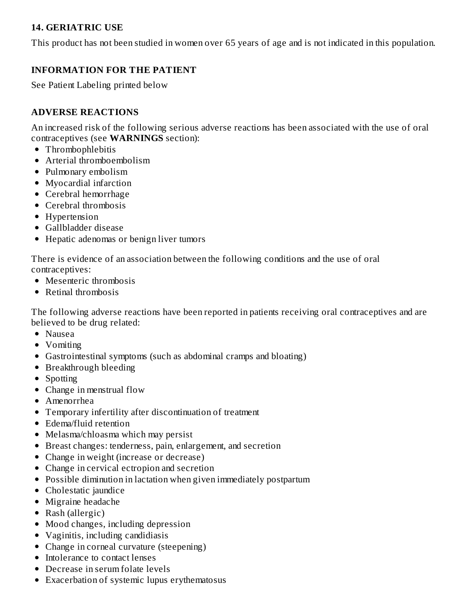#### **14. GERIATRIC USE**

This product has not been studied in women over 65 years of age and is not indicated in this population.

## **INFORMATION FOR THE PATIENT**

See Patient Labeling printed below

#### **ADVERSE REACTIONS**

An increased risk of the following serious adverse reactions has been associated with the use of oral contraceptives (see **WARNINGS** section):

- Thrombophlebitis
- Arterial thromboembolism
- Pulmonary embolism
- Myocardial infarction
- Cerebral hemorrhage
- Cerebral thrombosis
- Hypertension
- Gallbladder disease
- Hepatic adenomas or benign liver tumors

There is evidence of an association between the following conditions and the use of oral contraceptives:

- Mesenteric thrombosis
- Retinal thrombosis

The following adverse reactions have been reported in patients receiving oral contraceptives and are believed to be drug related:

- Nausea
- Vomiting
- Gastrointestinal symptoms (such as abdominal cramps and bloating)
- **•** Breakthrough bleeding
- Spotting
- Change in menstrual flow
- Amenorrhea
- Temporary infertility after discontinuation of treatment
- Edema/fluid retention
- Melasma/chloasma which may persist
- Breast changes: tenderness, pain, enlargement, and secretion
- Change in weight (increase or decrease)
- Change in cervical ectropion and secretion
- Possible diminution in lactation when given immediately postpartum
- Cholestatic jaundice
- Migraine headache
- Rash (allergic)
- Mood changes, including depression
- Vaginitis, including candidiasis
- Change in corneal curvature (steepening)
- Intolerance to contact lenses
- Decrease in serum folate levels
- Exacerbation of systemic lupus erythematosus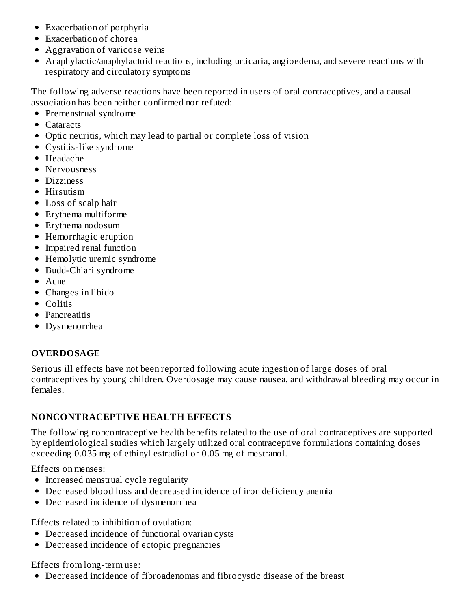- Exacerbation of porphyria
- Exacerbation of chorea
- Aggravation of varicose veins
- Anaphylactic/anaphylactoid reactions, including urticaria, angioedema, and severe reactions with respiratory and circulatory symptoms

The following adverse reactions have been reported in users of oral contraceptives, and a causal association has been neither confirmed nor refuted:

- Premenstrual syndrome
- Cataracts
- Optic neuritis, which may lead to partial or complete loss of vision
- Cystitis-like syndrome
- Headache
- Nervousness
- Dizziness
- Hirsutism
- Loss of scalp hair
- Erythema multiforme
- Erythema nodosum
- Hemorrhagic eruption
- Impaired renal function
- Hemolytic uremic syndrome
- Budd-Chiari syndrome
- Acne
- Changes in libido
- Colitis
- Pancreatitis
- Dysmenorrhea

# **OVERDOSAGE**

Serious ill effects have not been reported following acute ingestion of large doses of oral contraceptives by young children. Overdosage may cause nausea, and withdrawal bleeding may occur in females.

## **NONCONTRACEPTIVE HEALTH EFFECTS**

The following noncontraceptive health benefits related to the use of oral contraceptives are supported by epidemiological studies which largely utilized oral contraceptive formulations containing doses exceeding 0.035 mg of ethinyl estradiol or 0.05 mg of mestranol.

Effects on menses:

- Increased menstrual cycle regularity
- Decreased blood loss and decreased incidence of iron deficiency anemia
- Decreased incidence of dysmenorrhea

Effects related to inhibition of ovulation:

- Decreased incidence of functional ovarian cysts
- Decreased incidence of ectopic pregnancies

Effects from long-term use:

Decreased incidence of fibroadenomas and fibrocystic disease of the breast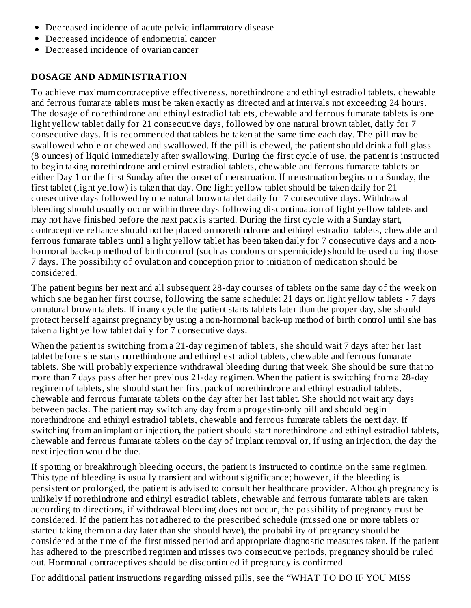- Decreased incidence of acute pelvic inflammatory disease
- Decreased incidence of endometrial cancer
- Decreased incidence of ovarian cancer

#### **DOSAGE AND ADMINISTRATION**

To achieve maximum contraceptive effectiveness, norethindrone and ethinyl estradiol tablets, chewable and ferrous fumarate tablets must be taken exactly as directed and at intervals not exceeding 24 hours. The dosage of norethindrone and ethinyl estradiol tablets, chewable and ferrous fumarate tablets is one light yellow tablet daily for 21 consecutive days, followed by one natural brown tablet, daily for 7 consecutive days. It is recommended that tablets be taken at the same time each day. The pill may be swallowed whole or chewed and swallowed. If the pill is chewed, the patient should drink a full glass (8 ounces) of liquid immediately after swallowing. During the first cycle of use, the patient is instructed to begin taking norethindrone and ethinyl estradiol tablets, chewable and ferrous fumarate tablets on either Day 1 or the first Sunday after the onset of menstruation. If menstruation begins on a Sunday, the first tablet (light yellow) is taken that day. One light yellow tablet should be taken daily for 21 consecutive days followed by one natural brown tablet daily for 7 consecutive days. Withdrawal bleeding should usually occur within three days following discontinuation of light yellow tablets and may not have finished before the next pack is started. During the first cycle with a Sunday start, contraceptive reliance should not be placed on norethindrone and ethinyl estradiol tablets, chewable and ferrous fumarate tablets until a light yellow tablet has been taken daily for 7 consecutive days and a nonhormonal back-up method of birth control (such as condoms or spermicide) should be used during those 7 days. The possibility of ovulation and conception prior to initiation of medication should be considered.

The patient begins her next and all subsequent 28-day courses of tablets on the same day of the week on which she began her first course, following the same schedule: 21 days on light yellow tablets - 7 days on natural brown tablets. If in any cycle the patient starts tablets later than the proper day, she should protect herself against pregnancy by using a non-hormonal back-up method of birth control until she has taken a light yellow tablet daily for 7 consecutive days.

When the patient is switching from a 21-day regimen of tablets, she should wait 7 days after her last tablet before she starts norethindrone and ethinyl estradiol tablets, chewable and ferrous fumarate tablets. She will probably experience withdrawal bleeding during that week. She should be sure that no more than 7 days pass after her previous 21-day regimen. When the patient is switching from a 28-day regimen of tablets, she should start her first pack of norethindrone and ethinyl estradiol tablets, chewable and ferrous fumarate tablets on the day after her last tablet. She should not wait any days between packs. The patient may switch any day from a progestin-only pill and should begin norethindrone and ethinyl estradiol tablets, chewable and ferrous fumarate tablets the next day. If switching from an implant or injection, the patient should start norethindrone and ethinyl estradiol tablets, chewable and ferrous fumarate tablets on the day of implant removal or, if using an injection, the day the next injection would be due.

If spotting or breakthrough bleeding occurs, the patient is instructed to continue on the same regimen. This type of bleeding is usually transient and without significance; however, if the bleeding is persistent or prolonged, the patient is advised to consult her healthcare provider. Although pregnancy is unlikely if norethindrone and ethinyl estradiol tablets, chewable and ferrous fumarate tablets are taken according to directions, if withdrawal bleeding does not occur, the possibility of pregnancy must be considered. If the patient has not adhered to the prescribed schedule (missed one or more tablets or started taking them on a day later than she should have), the probability of pregnancy should be considered at the time of the first missed period and appropriate diagnostic measures taken. If the patient has adhered to the prescribed regimen and misses two consecutive periods, pregnancy should be ruled out. Hormonal contraceptives should be discontinued if pregnancy is confirmed.

For additional patient instructions regarding missed pills, see the "WHAT TO DO IF YOU MISS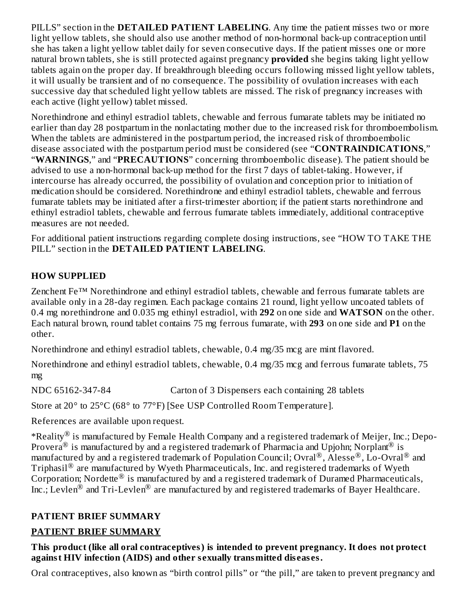PILLS" section in the **DETAILED PATIENT LABELING**. Any time the patient misses two or more light yellow tablets, she should also use another method of non-hormonal back-up contraception until she has taken a light yellow tablet daily for seven consecutive days. If the patient misses one or more natural brown tablets, she is still protected against pregnancy **provided** she begins taking light yellow tablets again on the proper day. If breakthrough bleeding occurs following missed light yellow tablets, it will usually be transient and of no consequence. The possibility of ovulation increases with each successive day that scheduled light yellow tablets are missed. The risk of pregnancy increases with each active (light yellow) tablet missed.

Norethindrone and ethinyl estradiol tablets, chewable and ferrous fumarate tablets may be initiated no earlier than day 28 postpartum in the nonlactating mother due to the increased risk for thromboembolism. When the tablets are administered in the postpartum period, the increased risk of thromboembolic disease associated with the postpartum period must be considered (see "**CONTRAINDICATIONS**," "**WARNINGS**," and "**PRECAUTIONS**" concerning thromboembolic disease). The patient should be advised to use a non-hormonal back-up method for the first 7 days of tablet-taking. However, if intercourse has already occurred, the possibility of ovulation and conception prior to initiation of medication should be considered. Norethindrone and ethinyl estradiol tablets, chewable and ferrous fumarate tablets may be initiated after a first-trimester abortion; if the patient starts norethindrone and ethinyl estradiol tablets, chewable and ferrous fumarate tablets immediately, additional contraceptive measures are not needed.

For additional patient instructions regarding complete dosing instructions, see "HOW TO TAKE THE PILL" section in the **DETAILED PATIENT LABELING**.

# **HOW SUPPLIED**

Zenchent Fe™ Norethindrone and ethinyl estradiol tablets, chewable and ferrous fumarate tablets are available only in a 28-day regimen. Each package contains 21 round, light yellow uncoated tablets of 0.4 mg norethindrone and 0.035 mg ethinyl estradiol, with **292** on one side and **WATSON** on the other. Each natural brown, round tablet contains 75 mg ferrous fumarate, with **293** on one side and **P1** on the other.

Norethindrone and ethinyl estradiol tablets, chewable, 0.4 mg/35 mcg are mint flavored.

Norethindrone and ethinyl estradiol tablets, chewable, 0.4 mg/35 mcg and ferrous fumarate tablets, 75 mg

NDC 65162-347-84 Carton of 3 Dispensers each containing 28 tablets

Store at 20° to 25°C (68° to 77°F) [See USP Controlled Room Temperature].

References are available upon request.

 $^*$ Reality $^{\circledR}$  is manufactured by Female Health Company and a registered trademark of Meijer, Inc.; Depo-Provera $^\circledR$  is manufactured by and a registered trademark of Pharmacia and Upjohn; Norplant $^\circledR$  is manufactured by and a registered trademark of Population Council; Ovral $^{\circledR}$ , Alesse $^{\circledR}$ , Lo-Ovral $^{\circledR}$  and Triphasil<sup>®</sup> are manufactured by Wyeth Pharmaceuticals, Inc. and registered trademarks of Wyeth Corporation; Nordette<sup>®</sup> is manufactured by and a registered trademark of Duramed Pharmaceuticals, Inc.; Levlen $^{\circledR}$  and Tri-Levlen $^{\circledR}$  are manufactured by and registered trademarks of Bayer Healthcare.

## **PATIENT BRIEF SUMMARY**

## **PATIENT BRIEF SUMMARY**

**This product (like all oral contraceptives) is intended to prevent pregnancy. It does not protect against HIV infection (AIDS) and other s exually transmitted dis eas es.**

Oral contraceptives, also known as "birth control pills" or "the pill," are taken to prevent pregnancy and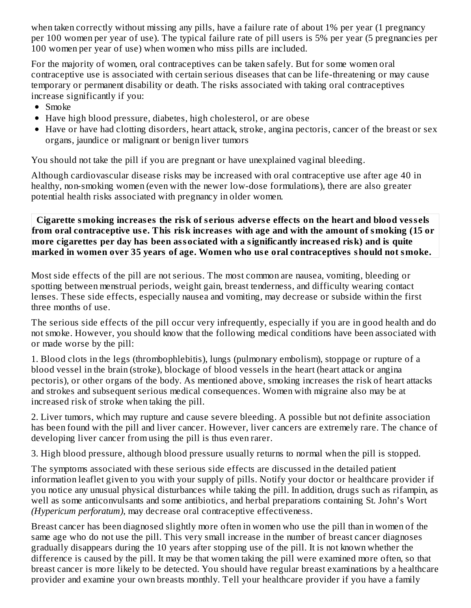when taken correctly without missing any pills, have a failure rate of about 1% per year (1 pregnancy per 100 women per year of use). The typical failure rate of pill users is 5% per year (5 pregnancies per 100 women per year of use) when women who miss pills are included.

For the majority of women, oral contraceptives can be taken safely. But for some women oral contraceptive use is associated with certain serious diseases that can be life-threatening or may cause temporary or permanent disability or death. The risks associated with taking oral contraceptives increase significantly if you:

- Smoke
- Have high blood pressure, diabetes, high cholesterol, or are obese
- Have or have had clotting disorders, heart attack, stroke, angina pectoris, cancer of the breast or sex organs, jaundice or malignant or benign liver tumors

You should not take the pill if you are pregnant or have unexplained vaginal bleeding.

Although cardiovascular disease risks may be increased with oral contraceptive use after age 40 in healthy, non-smoking women (even with the newer low-dose formulations), there are also greater potential health risks associated with pregnancy in older women.

Cigarette smoking increases the risk of serious adverse effects on the heart and blood vessels from oral contraceptive use. This risk increases with age and with the amount of smoking (15 or **more cigarettes per day has been associated with a significantly increas ed risk) and is quite marked in women over 35 years of age. Women who us e oral contraceptives should not smoke.**

Most side effects of the pill are not serious. The most common are nausea, vomiting, bleeding or spotting between menstrual periods, weight gain, breast tenderness, and difficulty wearing contact lenses. These side effects, especially nausea and vomiting, may decrease or subside within the first three months of use.

The serious side effects of the pill occur very infrequently, especially if you are in good health and do not smoke. However, you should know that the following medical conditions have been associated with or made worse by the pill:

1. Blood clots in the legs (thrombophlebitis), lungs (pulmonary embolism), stoppage or rupture of a blood vessel in the brain (stroke), blockage of blood vessels in the heart (heart attack or angina pectoris), or other organs of the body. As mentioned above, smoking increases the risk of heart attacks and strokes and subsequent serious medical consequences. Women with migraine also may be at increased risk of stroke when taking the pill.

2. Liver tumors, which may rupture and cause severe bleeding. A possible but not definite association has been found with the pill and liver cancer. However, liver cancers are extremely rare. The chance of developing liver cancer from using the pill is thus even rarer.

3. High blood pressure, although blood pressure usually returns to normal when the pill is stopped.

The symptoms associated with these serious side effects are discussed in the detailed patient information leaflet given to you with your supply of pills. Notify your doctor or healthcare provider if you notice any unusual physical disturbances while taking the pill. In addition, drugs such as rifampin, as well as some anticonvulsants and some antibiotics, and herbal preparations containing St. John's Wort *(Hypericum perforatum)*, may decrease oral contraceptive effectiveness.

Breast cancer has been diagnosed slightly more often in women who use the pill than in women of the same age who do not use the pill. This very small increase in the number of breast cancer diagnoses gradually disappears during the 10 years after stopping use of the pill. It is not known whether the difference is caused by the pill. It may be that women taking the pill were examined more often, so that breast cancer is more likely to be detected. You should have regular breast examinations by a healthcare provider and examine your own breasts monthly. Tell your healthcare provider if you have a family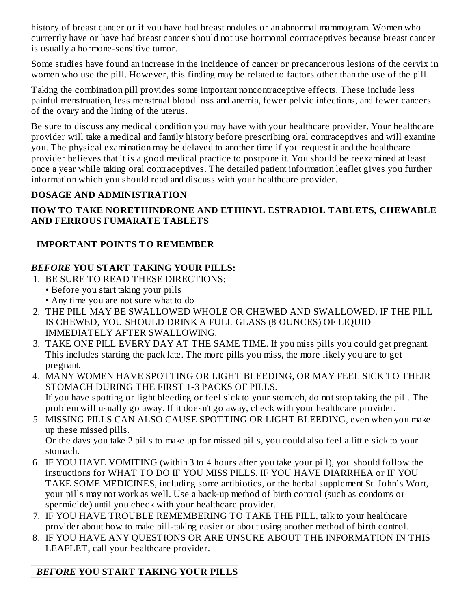history of breast cancer or if you have had breast nodules or an abnormal mammogram. Women who currently have or have had breast cancer should not use hormonal contraceptives because breast cancer is usually a hormone-sensitive tumor.

Some studies have found an increase in the incidence of cancer or precancerous lesions of the cervix in women who use the pill. However, this finding may be related to factors other than the use of the pill.

Taking the combination pill provides some important noncontraceptive effects. These include less painful menstruation, less menstrual blood loss and anemia, fewer pelvic infections, and fewer cancers of the ovary and the lining of the uterus.

Be sure to discuss any medical condition you may have with your healthcare provider. Your healthcare provider will take a medical and family history before prescribing oral contraceptives and will examine you. The physical examination may be delayed to another time if you request it and the healthcare provider believes that it is a good medical practice to postpone it. You should be reexamined at least once a year while taking oral contraceptives. The detailed patient information leaflet gives you further information which you should read and discuss with your healthcare provider.

#### **DOSAGE AND ADMINISTRATION**

#### **HOW TO TAKE NORETHINDRONE AND ETHINYL ESTRADIOL TABLETS, CHEWABLE AND FERROUS FUMARATE TABLETS**

#### **IMPORTANT POINTS TO REMEMBER**

## *BEFORE* **YOU START TAKING YOUR PILLS:**

- 1. BE SURE TO READ THESE DIRECTIONS:
	- Before you start taking your pills
	- Any time you are not sure what to do
- 2. THE PILL MAY BE SWALLOWED WHOLE OR CHEWED AND SWALLOWED. IF THE PILL IS CHEWED, YOU SHOULD DRINK A FULL GLASS (8 OUNCES) OF LIQUID IMMEDIATELY AFTER SWALLOWING.
- 3. TAKE ONE PILL EVERY DAY AT THE SAME TIME. If you miss pills you could get pregnant. This includes starting the pack late. The more pills you miss, the more likely you are to get pregnant.
- 4. MANY WOMEN HAVE SPOTTING OR LIGHT BLEEDING, OR MAY FEEL SICK TO THEIR STOMACH DURING THE FIRST 1-3 PACKS OF PILLS. If you have spotting or light bleeding or feel sick to your stomach, do not stop taking the pill. The problem will usually go away. If it doesn't go away, check with your healthcare provider.
- 5. MISSING PILLS CAN ALSO CAUSE SPOTTING OR LIGHT BLEEDING, even when you make up these missed pills. On the days you take 2 pills to make up for missed pills, you could also feel a little sick to your stomach.
- 6. IF YOU HAVE VOMITING (within 3 to 4 hours after you take your pill), you should follow the instructions for WHAT TO DO IF YOU MISS PILLS. IF YOU HAVE DIARRHEA or IF YOU TAKE SOME MEDICINES, including some antibiotics, or the herbal supplement St. John's Wort, your pills may not work as well. Use a back-up method of birth control (such as condoms or spermicide) until you check with your healthcare provider.
- 7. IF YOU HAVE TROUBLE REMEMBERING TO TAKE THE PILL, talk to your healthcare provider about how to make pill-taking easier or about using another method of birth control.
- 8. IF YOU HAVE ANY QUESTIONS OR ARE UNSURE ABOUT THE INFORMATION IN THIS LEAFLET, call your healthcare provider.

# *BEFORE* **YOU START TAKING YOUR PILLS**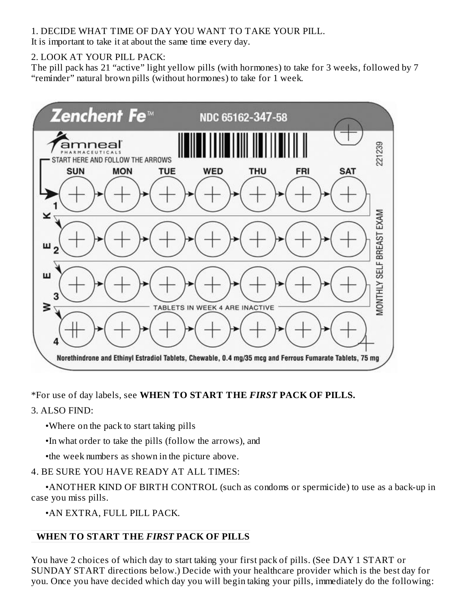#### 1. DECIDE WHAT TIME OF DAY YOU WANT TO TAKE YOUR PILL.

It is important to take it at about the same time every day.

#### 2. LOOK AT YOUR PILL PACK:

The pill pack has 21 "active" light yellow pills (with hormones) to take for 3 weeks, followed by 7 "reminder" natural brown pills (without hormones) to take for 1 week.



\*For use of day labels, see **WHEN TO START THE** *FIRST* **PACK OF PILLS.**

3. ALSO FIND:

•Where on the pack to start taking pills

•In what order to take the pills (follow the arrows), and

•the week numbers as shown in the picture above.

4. BE SURE YOU HAVE READY AT ALL TIMES:

•ANOTHER KIND OF BIRTH CONTROL (such as condoms or spermicide) to use as a back-up in case you miss pills.

•AN EXTRA, FULL PILL PACK.

# **WHEN TO START THE** *FIRST* **PACK OF PILLS**

You have 2 choices of which day to start taking your first pack of pills. (See DAY 1 START or SUNDAY START directions below.) Decide with your healthcare provider which is the best day for you. Once you have decided which day you will begin taking your pills, immediately do the following: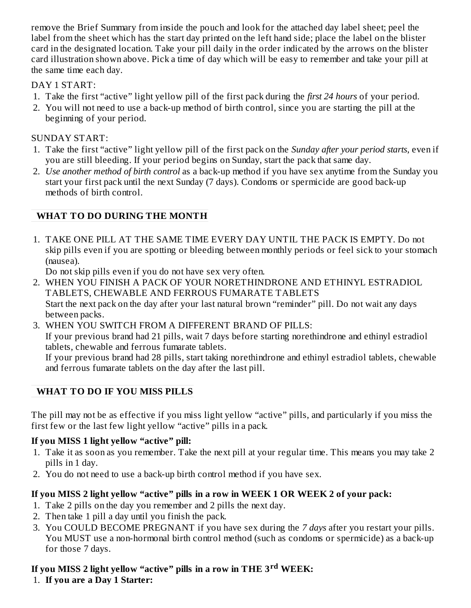remove the Brief Summary from inside the pouch and look for the attached day label sheet; peel the label from the sheet which has the start day printed on the left hand side; place the label on the blister card in the designated location. Take your pill daily in the order indicated by the arrows on the blister card illustration shown above. Pick a time of day which will be easy to remember and take your pill at the same time each day.

## DAY 1 START:

- 1. Take the first "active" light yellow pill of the first pack during the *first 24 hours* of your period.
- 2. You will not need to use a back-up method of birth control, since you are starting the pill at the beginning of your period.

#### SUNDAY START:

- 1. Take the first "active" light yellow pill of the first pack on the *Sunday after your period starts,* even if you are still bleeding. If your period begins on Sunday, start the pack that same day.
- 2. *Use another method of birth control* as a back-up method if you have sex anytime from the Sunday you start your first pack until the next Sunday (7 days). Condoms or spermicide are good back-up methods of birth control.

# **WHAT TO DO DURING THE MONTH**

1. TAKE ONE PILL AT THE SAME TIME EVERY DAY UNTIL THE PACK IS EMPTY. Do not skip pills even if you are spotting or bleeding between monthly periods or feel sick to your stomach (nausea).

Do not skip pills even if you do not have sex very often.

- 2. WHEN YOU FINISH A PACK OF YOUR NORETHINDRONE AND ETHINYL ESTRADIOL TABLETS, CHEWABLE AND FERROUS FUMARATE TABLETS Start the next pack on the day after your last natural brown "reminder" pill. Do not wait any days between packs.
- 3. WHEN YOU SWITCH FROM A DIFFERENT BRAND OF PILLS: If your previous brand had 21 pills, wait 7 days before starting norethindrone and ethinyl estradiol tablets, chewable and ferrous fumarate tablets. If your previous brand had 28 pills, start taking norethindrone and ethinyl estradiol tablets, chewable

and ferrous fumarate tablets on the day after the last pill.

## **WHAT TO DO IF YOU MISS PILLS**

The pill may not be as effective if you miss light yellow "active" pills, and particularly if you miss the first few or the last few light yellow "active" pills in a pack.

## **If you MISS 1 light yellow "active" pill:**

- 1. Take it as soon as you remember. Take the next pill at your regular time. This means you may take 2 pills in 1 day.
- 2. You do not need to use a back-up birth control method if you have sex.

## **If you MISS 2 light yellow "active" pills in a row in WEEK 1 OR WEEK 2 of your pack:**

- 1. Take 2 pills on the day you remember and 2 pills the next day.
- 2. Then take 1 pill a day until you finish the pack.
- 3. You COULD BECOME PREGNANT if you have sex during the *7 days* after you restart your pills. You MUST use a non-hormonal birth control method (such as condoms or spermicide) as a back-up for those 7 days.

## **If you MISS 2 light yellow "active" pills in a row in THE 3 WEEK: rd**

1. **If you are a Day 1 Starter:**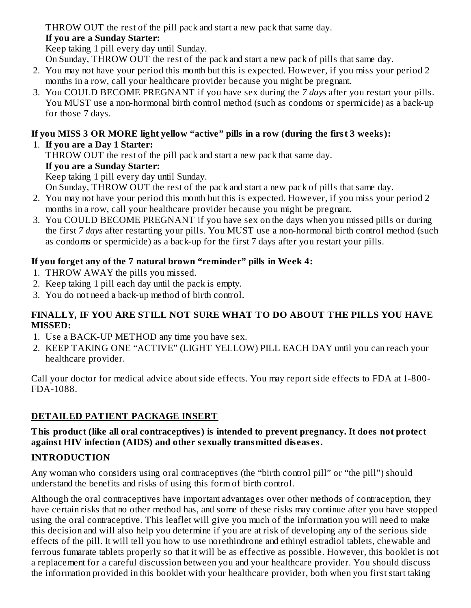THROW OUT the rest of the pill pack and start a new pack that same day.

#### **If you are a Sunday Starter:**

Keep taking 1 pill every day until Sunday.

On Sunday, THROW OUT the rest of the pack and start a new pack of pills that same day.

- 2. You may not have your period this month but this is expected. However, if you miss your period 2 months in a row, call your healthcare provider because you might be pregnant.
- 3. You COULD BECOME PREGNANT if you have sex during the *7 days* after you restart your pills. You MUST use a non-hormonal birth control method (such as condoms or spermicide) as a back-up for those 7 days.

# **If you MISS 3 OR MORE light yellow "active" pills in a row (during the first 3 weeks):**

# 1. **If you are a Day 1 Starter:**

THROW OUT the rest of the pill pack and start a new pack that same day.

# **If you are a Sunday Starter:**

Keep taking 1 pill every day until Sunday.

On Sunday, THROW OUT the rest of the pack and start a new pack of pills that same day.

- 2. You may not have your period this month but this is expected. However, if you miss your period 2 months in a row, call your healthcare provider because you might be pregnant.
- 3. You COULD BECOME PREGNANT if you have sex on the days when you missed pills or during the first *7 days* after restarting your pills. You MUST use a non-hormonal birth control method (such as condoms or spermicide) as a back-up for the first 7 days after you restart your pills.

# **If you forget any of the 7 natural brown "reminder" pills in Week 4:**

- 1. THROW AWAY the pills you missed.
- 2. Keep taking 1 pill each day until the pack is empty.
- 3. You do not need a back-up method of birth control.

## **FINALLY, IF YOU ARE STILL NOT SURE WHAT TO DO ABOUT THE PILLS YOU HAVE MISSED:**

- 1. Use a BACK-UP METHOD any time you have sex.
- 2. KEEP TAKING ONE "ACTIVE" (LIGHT YELLOW) PILL EACH DAY until you can reach your healthcare provider.

Call your doctor for medical advice about side effects. You may report side effects to FDA at 1-800- FDA-1088.

# **DETAILED PATIENT PACKAGE INSERT**

# **This product (like all oral contraceptives) is intended to prevent pregnancy. It does not protect against HIV infection (AIDS) and other s exually transmitted dis eas es.**

# **INTRODUCTION**

Any woman who considers using oral contraceptives (the "birth control pill" or "the pill") should understand the benefits and risks of using this form of birth control.

Although the oral contraceptives have important advantages over other methods of contraception, they have certain risks that no other method has, and some of these risks may continue after you have stopped using the oral contraceptive. This leaflet will give you much of the information you will need to make this decision and will also help you determine if you are at risk of developing any of the serious side effects of the pill. It will tell you how to use norethindrone and ethinyl estradiol tablets, chewable and ferrous fumarate tablets properly so that it will be as effective as possible. However, this booklet is not a replacement for a careful discussion between you and your healthcare provider. You should discuss the information provided in this booklet with your healthcare provider, both when you first start taking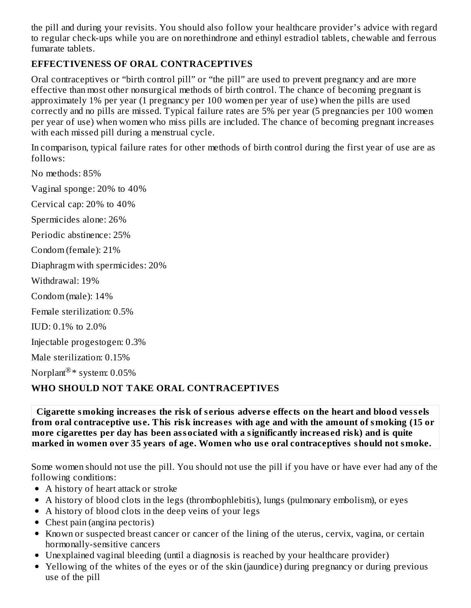the pill and during your revisits. You should also follow your healthcare provider's advice with regard to regular check-ups while you are on norethindrone and ethinyl estradiol tablets, chewable and ferrous fumarate tablets.

## **EFFECTIVENESS OF ORAL CONTRACEPTIVES**

Oral contraceptives or "birth control pill" or "the pill" are used to prevent pregnancy and are more effective than most other nonsurgical methods of birth control. The chance of becoming pregnant is approximately 1% per year (1 pregnancy per 100 women per year of use) when the pills are used correctly and no pills are missed. Typical failure rates are 5% per year (5 pregnancies per 100 women per year of use) when women who miss pills are included. The chance of becoming pregnant increases with each missed pill during a menstrual cycle.

In comparison, typical failure rates for other methods of birth control during the first year of use are as follows:

No methods: 85% Vaginal sponge: 20% to 40% Cervical cap: 20% to 40% Spermicides alone: 26% Periodic abstinence: 25% Condom (female): 21% Diaphragm with spermicides: 20% Withdrawal: 19% Condom (male): 14% Female sterilization: 0.5% IUD: 0.1% to 2.0% Injectable progestogen: 0.3% Male sterilization: 0.15%

Norplant $^{\circledR}*$  system: 0.05%

## **WHO SHOULD NOT TAKE ORAL CONTRACEPTIVES**

Cigarette smoking increases the risk of serious adverse effects on the heart and blood vessels from oral contraceptive use. This risk increases with age and with the amount of smoking (15 or **more cigarettes per day has been associated with a significantly increas ed risk) and is quite marked in women over 35 years of age. Women who us e oral contraceptives should not smoke.**

Some women should not use the pill. You should not use the pill if you have or have ever had any of the following conditions:

- A history of heart attack or stroke
- A history of blood clots in the legs (thrombophlebitis), lungs (pulmonary embolism), or eyes
- A history of blood clots in the deep veins of your legs
- Chest pain (angina pectoris)
- Known or suspected breast cancer or cancer of the lining of the uterus, cervix, vagina, or certain hormonally-sensitive cancers
- Unexplained vaginal bleeding (until a diagnosis is reached by your healthcare provider)
- Yellowing of the whites of the eyes or of the skin (jaundice) during pregnancy or during previous use of the pill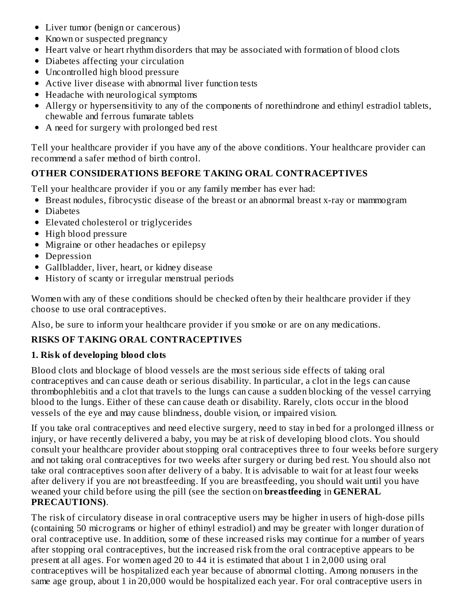- Liver tumor (benign or cancerous)
- Known or suspected pregnancy
- Heart valve or heart rhythm disorders that may be associated with formation of blood clots
- Diabetes affecting your circulation
- Uncontrolled high blood pressure
- Active liver disease with abnormal liver function tests
- Headache with neurological symptoms
- Allergy or hypersensitivity to any of the components of norethindrone and ethinyl estradiol tablets, chewable and ferrous fumarate tablets
- A need for surgery with prolonged bed rest  $\bullet$

Tell your healthcare provider if you have any of the above conditions. Your healthcare provider can recommend a safer method of birth control.

# **OTHER CONSIDERATIONS BEFORE TAKING ORAL CONTRACEPTIVES**

Tell your healthcare provider if you or any family member has ever had:

- Breast nodules, fibrocystic disease of the breast or an abnormal breast x-ray or mammogram
- Diabetes
- Elevated cholesterol or triglycerides
- High blood pressure
- Migraine or other headaches or epilepsy
- Depression
- Gallbladder, liver, heart, or kidney disease
- History of scanty or irregular menstrual periods

Women with any of these conditions should be checked often by their healthcare provider if they choose to use oral contraceptives.

Also, be sure to inform your healthcare provider if you smoke or are on any medications.

# **RISKS OF TAKING ORAL CONTRACEPTIVES**

# **1. Risk of developing blood clots**

Blood clots and blockage of blood vessels are the most serious side effects of taking oral contraceptives and can cause death or serious disability. In particular, a clot in the legs can cause thrombophlebitis and a clot that travels to the lungs can cause a sudden blocking of the vessel carrying blood to the lungs. Either of these can cause death or disability. Rarely, clots occur in the blood vessels of the eye and may cause blindness, double vision, or impaired vision.

If you take oral contraceptives and need elective surgery, need to stay in bed for a prolonged illness or injury, or have recently delivered a baby, you may be at risk of developing blood clots. You should consult your healthcare provider about stopping oral contraceptives three to four weeks before surgery and not taking oral contraceptives for two weeks after surgery or during bed rest. You should also not take oral contraceptives soon after delivery of a baby. It is advisable to wait for at least four weeks after delivery if you are not breastfeeding. If you are breastfeeding, you should wait until you have weaned your child before using the pill (see the section on **breastfeeding** in **GENERAL PRECAUTIONS)**.

The risk of circulatory disease in oral contraceptive users may be higher in users of high-dose pills (containing 50 micrograms or higher of ethinyl estradiol) and may be greater with longer duration of oral contraceptive use. In addition, some of these increased risks may continue for a number of years after stopping oral contraceptives, but the increased risk from the oral contraceptive appears to be present at all ages. For women aged 20 to 44 it is estimated that about 1 in 2,000 using oral contraceptives will be hospitalized each year because of abnormal clotting. Among nonusers in the same age group, about 1 in 20,000 would be hospitalized each year. For oral contraceptive users in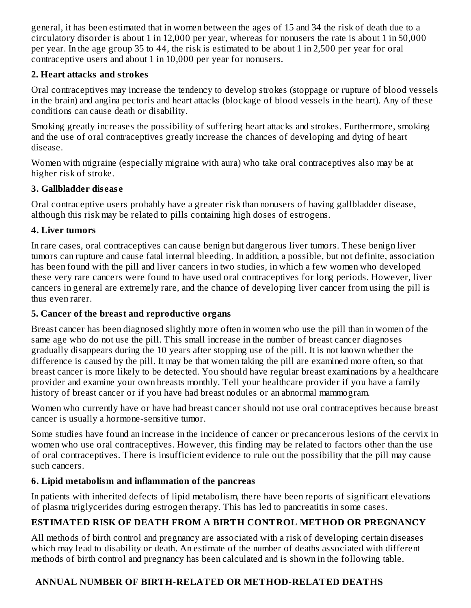general, it has been estimated that in women between the ages of 15 and 34 the risk of death due to a circulatory disorder is about 1 in 12,000 per year, whereas for nonusers the rate is about 1 in 50,000 per year. In the age group 35 to 44, the risk is estimated to be about 1 in 2,500 per year for oral contraceptive users and about 1 in 10,000 per year for nonusers.

#### **2. Heart attacks and strokes**

Oral contraceptives may increase the tendency to develop strokes (stoppage or rupture of blood vessels in the brain) and angina pectoris and heart attacks (blockage of blood vessels in the heart). Any of these conditions can cause death or disability.

Smoking greatly increases the possibility of suffering heart attacks and strokes. Furthermore, smoking and the use of oral contraceptives greatly increase the chances of developing and dying of heart disease.

Women with migraine (especially migraine with aura) who take oral contraceptives also may be at higher risk of stroke.

#### **3. Gallbladder dis eas e**

Oral contraceptive users probably have a greater risk than nonusers of having gallbladder disease, although this risk may be related to pills containing high doses of estrogens.

#### **4. Liver tumors**

In rare cases, oral contraceptives can cause benign but dangerous liver tumors. These benign liver tumors can rupture and cause fatal internal bleeding. In addition, a possible, but not definite, association has been found with the pill and liver cancers in two studies, in which a few women who developed these very rare cancers were found to have used oral contraceptives for long periods. However, liver cancers in general are extremely rare, and the chance of developing liver cancer from using the pill is thus even rarer.

## **5. Cancer of the breast and reproductive organs**

Breast cancer has been diagnosed slightly more often in women who use the pill than in women of the same age who do not use the pill. This small increase in the number of breast cancer diagnoses gradually disappears during the 10 years after stopping use of the pill. It is not known whether the difference is caused by the pill. It may be that women taking the pill are examined more often, so that breast cancer is more likely to be detected. You should have regular breast examinations by a healthcare provider and examine your own breasts monthly. Tell your healthcare provider if you have a family history of breast cancer or if you have had breast nodules or an abnormal mammogram.

Women who currently have or have had breast cancer should not use oral contraceptives because breast cancer is usually a hormone-sensitive tumor.

Some studies have found an increase in the incidence of cancer or precancerous lesions of the cervix in women who use oral contraceptives. However, this finding may be related to factors other than the use of oral contraceptives. There is insufficient evidence to rule out the possibility that the pill may cause such cancers.

## **6. Lipid metabolism and inflammation of the pancreas**

In patients with inherited defects of lipid metabolism, there have been reports of significant elevations of plasma triglycerides during estrogen therapy. This has led to pancreatitis in some cases.

# **ESTIMATED RISK OF DEATH FROM A BIRTH CONTROL METHOD OR PREGNANCY**

All methods of birth control and pregnancy are associated with a risk of developing certain diseases which may lead to disability or death. An estimate of the number of deaths associated with different methods of birth control and pregnancy has been calculated and is shown in the following table.

# **ANNUAL NUMBER OF BIRTH-RELATED OR METHOD-RELATED DEATHS**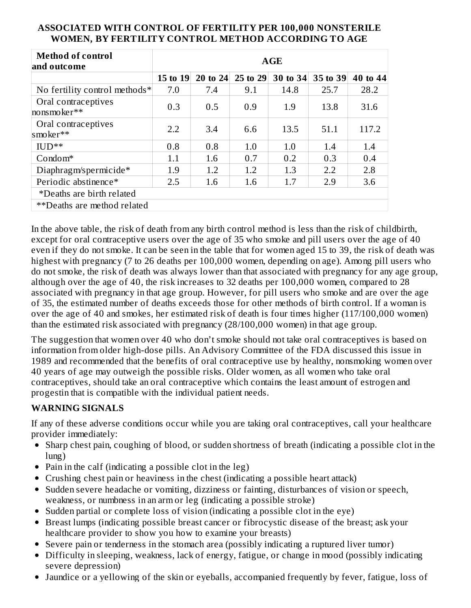| <b>ASSOCIATED WITH CONTROL OF FERTILITY PER 100,000 NONSTERILE</b> |
|--------------------------------------------------------------------|
| WOMEN, BY FERTILITY CONTROL METHOD ACCORDING TO AGE                |

| <b>Method of control</b><br>and outcome | AGE      |          |          |          |          |          |
|-----------------------------------------|----------|----------|----------|----------|----------|----------|
|                                         | 15 to 19 | 20 to 24 | 25 to 29 | 30 to 34 | 35 to 39 | 40 to 44 |
| No fertility control methods $*$        | 7.0      | 7.4      | 9.1      | 14.8     | 25.7     | 28.2     |
| Oral contraceptives<br>nonsmoker**      | 0.3      | 0.5      | 0.9      | 1.9      | 13.8     | 31.6     |
| Oral contraceptives<br>smoker**         | 2.2      | 3.4      | 6.6      | 13.5     | 51.1     | 117.2    |
| $IUD**$                                 | 0.8      | 0.8      | 1.0      | 1.0      | 1.4      | 1.4      |
| $Condom^*$                              | 1.1      | 1.6      | 0.7      | 0.2      | 0.3      | 0.4      |
| Diaphragm/spermicide*                   | 1.9      | 1.2      | 1.2      | 1.3      | 2.2      | 2.8      |
| Periodic abstinence*                    | 2.5      | 1.6      | 1.6      | 1.7      | 2.9      | 3.6      |
| *Deaths are birth related               |          |          |          |          |          |          |
| **Deaths are method related             |          |          |          |          |          |          |

In the above table, the risk of death from any birth control method is less than the risk of childbirth, except for oral contraceptive users over the age of 35 who smoke and pill users over the age of 40 even if they do not smoke. It can be seen in the table that for women aged 15 to 39, the risk of death was highest with pregnancy (7 to 26 deaths per 100,000 women, depending on age). Among pill users who do not smoke, the risk of death was always lower than that associated with pregnancy for any age group, although over the age of 40, the risk increases to 32 deaths per 100,000 women, compared to 28 associated with pregnancy in that age group. However, for pill users who smoke and are over the age of 35, the estimated number of deaths exceeds those for other methods of birth control. If a woman is over the age of 40 and smokes, her estimated risk of death is four times higher (117/100,000 women) than the estimated risk associated with pregnancy (28/100,000 women) in that age group.

The suggestion that women over 40 who don't smoke should not take oral contraceptives is based on information from older high-dose pills. An Advisory Committee of the FDA discussed this issue in 1989 and recommended that the benefits of oral contraceptive use by healthy, nonsmoking women over 40 years of age may outweigh the possible risks. Older women, as all women who take oral contraceptives, should take an oral contraceptive which contains the least amount of estrogen and progestin that is compatible with the individual patient needs.

## **WARNING SIGNALS**

If any of these adverse conditions occur while you are taking oral contraceptives, call your healthcare provider immediately:

- Sharp chest pain, coughing of blood, or sudden shortness of breath (indicating a possible clot in the lung)
- Pain in the calf (indicating a possible clot in the leg)
- Crushing chest pain or heaviness in the chest (indicating a possible heart attack)
- Sudden severe headache or vomiting, dizziness or fainting, disturbances of vision or speech, weakness, or numbness in an arm or leg (indicating a possible stroke)
- Sudden partial or complete loss of vision (indicating a possible clot in the eye)
- Breast lumps (indicating possible breast cancer or fibrocystic disease of the breast; ask your healthcare provider to show you how to examine your breasts)
- Severe pain or tenderness in the stomach area (possibly indicating a ruptured liver tumor)
- Difficulty in sleeping, weakness, lack of energy, fatigue, or change in mood (possibly indicating severe depression)
- Jaundice or a yellowing of the skin or eyeballs, accompanied frequently by fever, fatigue, loss of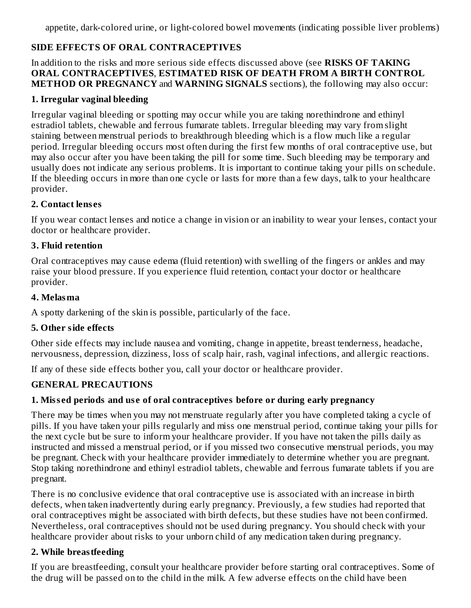#### **SIDE EFFECTS OF ORAL CONTRACEPTIVES**

#### In addition to the risks and more serious side effects discussed above (see **RISKS OF TAKING ORAL CONTRACEPTIVES**, **ESTIMATED RISK OF DEATH FROM A BIRTH CONTROL METHOD OR PREGNANCY** and **WARNING SIGNALS** sections), the following may also occur:

#### **1. Irregular vaginal bleeding**

Irregular vaginal bleeding or spotting may occur while you are taking norethindrone and ethinyl estradiol tablets, chewable and ferrous fumarate tablets. Irregular bleeding may vary from slight staining between menstrual periods to breakthrough bleeding which is a flow much like a regular period. Irregular bleeding occurs most often during the first few months of oral contraceptive use, but may also occur after you have been taking the pill for some time. Such bleeding may be temporary and usually does not indicate any serious problems. It is important to continue taking your pills on schedule. If the bleeding occurs in more than one cycle or lasts for more than a few days, talk to your healthcare provider.

#### **2. Contact lens es**

If you wear contact lenses and notice a change in vision or an inability to wear your lenses, contact your doctor or healthcare provider.

#### **3. Fluid retention**

Oral contraceptives may cause edema (fluid retention) with swelling of the fingers or ankles and may raise your blood pressure. If you experience fluid retention, contact your doctor or healthcare provider.

#### **4. Melasma**

A spotty darkening of the skin is possible, particularly of the face.

#### **5. Other side effects**

Other side effects may include nausea and vomiting, change in appetite, breast tenderness, headache, nervousness, depression, dizziness, loss of scalp hair, rash, vaginal infections, and allergic reactions.

If any of these side effects bother you, call your doctor or healthcare provider.

## **GENERAL PRECAUTIONS**

#### **1. Miss ed periods and us e of oral contraceptives before or during early pregnancy**

There may be times when you may not menstruate regularly after you have completed taking a cycle of pills. If you have taken your pills regularly and miss one menstrual period, continue taking your pills for the next cycle but be sure to inform your healthcare provider. If you have not taken the pills daily as instructed and missed a menstrual period, or if you missed two consecutive menstrual periods, you may be pregnant. Check with your healthcare provider immediately to determine whether you are pregnant. Stop taking norethindrone and ethinyl estradiol tablets, chewable and ferrous fumarate tablets if you are pregnant.

There is no conclusive evidence that oral contraceptive use is associated with an increase in birth defects, when taken inadvertently during early pregnancy. Previously, a few studies had reported that oral contraceptives might be associated with birth defects, but these studies have not been confirmed. Nevertheless, oral contraceptives should not be used during pregnancy. You should check with your healthcare provider about risks to your unborn child of any medication taken during pregnancy.

#### **2. While breastfeeding**

If you are breastfeeding, consult your healthcare provider before starting oral contraceptives. Some of the drug will be passed on to the child in the milk. A few adverse effects on the child have been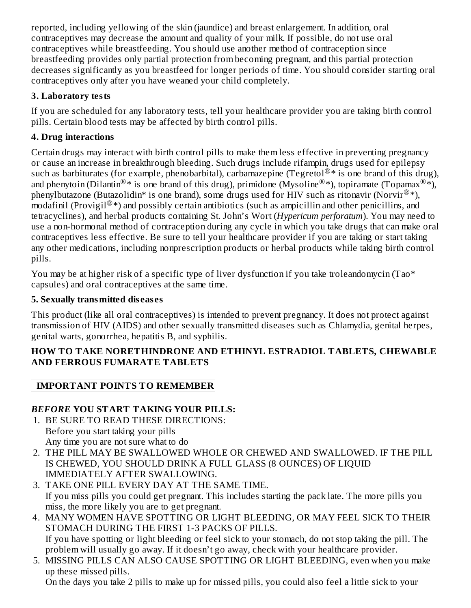reported, including yellowing of the skin (jaundice) and breast enlargement. In addition, oral contraceptives may decrease the amount and quality of your milk. If possible, do not use oral contraceptives while breastfeeding. You should use another method of contraception since breastfeeding provides only partial protection from becoming pregnant, and this partial protection decreases significantly as you breastfeed for longer periods of time. You should consider starting oral contraceptives only after you have weaned your child completely.

# **3. Laboratory tests**

If you are scheduled for any laboratory tests, tell your healthcare provider you are taking birth control pills. Certain blood tests may be affected by birth control pills.

# **4. Drug interactions**

Certain drugs may interact with birth control pills to make them less effective in preventing pregnancy or cause an increase in breakthrough bleeding. Such drugs include rifampin, drugs used for epilepsy such as barbiturates (for example, phenobarbital), carbamazepine (Tegretol<sup>®\*</sup> is one brand of this drug), and phenytoin (Dilantin<sup>®</sup> \* is one brand of this drug), primidone (Mysoline<sup>®</sup> \*), topiramate (Topamax<sup>®</sup> \*), phenylbutazone (Butazolidin\* is one brand), some drugs used for HIV such as ritonavir (Norvir®\*),  $\mod$  modafinil (Provigil $^{\circledR}*$ ) and possibly certain antibiotics (such as ampicillin and other penicillins, and tetracyclines), and herbal products containing St. John's Wort (*Hypericum perforatum*). You may need to use a non-hormonal method of contraception during any cycle in which you take drugs that can make oral contraceptives less effective. Be sure to tell your healthcare provider if you are taking or start taking any other medications, including nonprescription products or herbal products while taking birth control pills.

You may be at higher risk of a specific type of liver dysfunction if you take troleandomycin (Tao\* capsules) and oral contraceptives at the same time.

# **5. Sexually transmitted dis eas es**

This product (like all oral contraceptives) is intended to prevent pregnancy. It does not protect against transmission of HIV (AIDS) and other sexually transmitted diseases such as Chlamydia, genital herpes, genital warts, gonorrhea, hepatitis B, and syphilis.

## **HOW TO TAKE NORETHINDRONE AND ETHINYL ESTRADIOL TABLETS, CHEWABLE AND FERROUS FUMARATE TABLETS**

# **IMPORTANT POINTS TO REMEMBER**

# *BEFORE* **YOU START TAKING YOUR PILLS:**

- 1. BE SURE TO READ THESE DIRECTIONS: Before you start taking your pills Any time you are not sure what to do
- 2. THE PILL MAY BE SWALLOWED WHOLE OR CHEWED AND SWALLOWED. IF THE PILL IS CHEWED, YOU SHOULD DRINK A FULL GLASS (8 OUNCES) OF LIQUID IMMEDIATELY AFTER SWALLOWING.
- 3. TAKE ONE PILL EVERY DAY AT THE SAME TIME. If you miss pills you could get pregnant. This includes starting the pack late. The more pills you miss, the more likely you are to get pregnant.
- 4. MANY WOMEN HAVE SPOTTING OR LIGHT BLEEDING, OR MAY FEEL SICK TO THEIR STOMACH DURING THE FIRST 1-3 PACKS OF PILLS. If you have spotting or light bleeding or feel sick to your stomach, do not stop taking the pill. The problem will usually go away. If it doesn't go away, check with your healthcare provider.
- 5. MISSING PILLS CAN ALSO CAUSE SPOTTING OR LIGHT BLEEDING, even when you make up these missed pills.

On the days you take 2 pills to make up for missed pills, you could also feel a little sick to your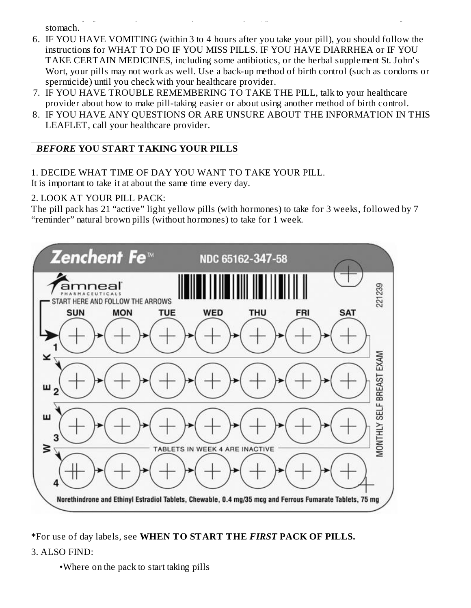On the days you take 2 pills to make up for missed pills, you could also feel a little sick to your stomach.

- 6. IF YOU HAVE VOMITING (within 3 to 4 hours after you take your pill), you should follow the instructions for WHAT TO DO IF YOU MISS PILLS. IF YOU HAVE DIARRHEA or IF YOU TAKE CERTAIN MEDICINES, including some antibiotics, or the herbal supplement St. John's Wort, your pills may not work as well. Use a back-up method of birth control (such as condoms or spermicide) until you check with your healthcare provider.
- 7. IF YOU HAVE TROUBLE REMEMBERING TO TAKE THE PILL, talk to your healthcare provider about how to make pill-taking easier or about using another method of birth control.
- 8. IF YOU HAVE ANY QUESTIONS OR ARE UNSURE ABOUT THE INFORMATION IN THIS LEAFLET, call your healthcare provider.

# *BEFORE* **YOU START TAKING YOUR PILLS**

# 1. DECIDE WHAT TIME OF DAY YOU WANT TO TAKE YOUR PILL.

It is important to take it at about the same time every day.

2. LOOK AT YOUR PILL PACK:

The pill pack has 21 "active" light yellow pills (with hormones) to take for 3 weeks, followed by 7 "reminder" natural brown pills (without hormones) to take for 1 week.



\*For use of day labels, see **WHEN TO START THE** *FIRST* **PACK OF PILLS.**

# 3. ALSO FIND:

•Where on the pack to start taking pills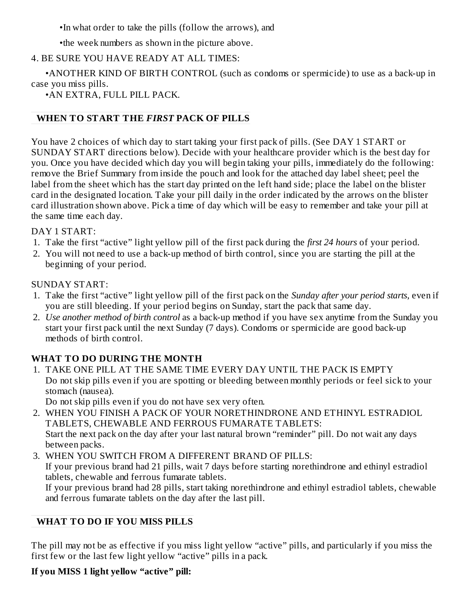•In what order to take the pills (follow the arrows), and

•the week numbers as shown in the picture above.

# 4. BE SURE YOU HAVE READY AT ALL TIMES:

•ANOTHER KIND OF BIRTH CONTROL (such as condoms or spermicide) to use as a back-up in case you miss pills.

•AN EXTRA, FULL PILL PACK.

# **WHEN TO START THE** *FIRST* **PACK OF PILLS**

You have 2 choices of which day to start taking your first pack of pills. (See DAY 1 START or SUNDAY START directions below). Decide with your healthcare provider which is the best day for you. Once you have decided which day you will begin taking your pills, immediately do the following: remove the Brief Summary from inside the pouch and look for the attached day label sheet; peel the label from the sheet which has the start day printed on the left hand side; place the label on the blister card in the designated location. Take your pill daily in the order indicated by the arrows on the blister card illustration shown above. Pick a time of day which will be easy to remember and take your pill at the same time each day.

# DAY 1 START:

- 1. Take the first "active" light yellow pill of the first pack during the *first 24 hours* of your period.
- 2. You will not need to use a back-up method of birth control, since you are starting the pill at the beginning of your period.

# SUNDAY START:

- 1. Take the first "active" light yellow pill of the first pack on the *Sunday after your period starts,* even if you are still bleeding. If your period begins on Sunday, start the pack that same day.
- 2. *Use another method of birth control* as a back-up method if you have sex anytime from the Sunday you start your first pack until the next Sunday (7 days). Condoms or spermicide are good back-up methods of birth control.

# **WHAT TO DO DURING THE MONTH**

1. TAKE ONE PILL AT THE SAME TIME EVERY DAY UNTIL THE PACK IS EMPTY Do not skip pills even if you are spotting or bleeding between monthly periods or feel sick to your stomach (nausea).

Do not skip pills even if you do not have sex very often.

- 2. WHEN YOU FINISH A PACK OF YOUR NORETHINDRONE AND ETHINYL ESTRADIOL TABLETS, CHEWABLE AND FERROUS FUMARATE TABLETS: Start the next pack on the day after your last natural brown "reminder" pill. Do not wait any days between packs.
- 3. WHEN YOU SWITCH FROM A DIFFERENT BRAND OF PILLS:

If your previous brand had 21 pills, wait 7 days before starting norethindrone and ethinyl estradiol tablets, chewable and ferrous fumarate tablets.

If your previous brand had 28 pills, start taking norethindrone and ethinyl estradiol tablets, chewable and ferrous fumarate tablets on the day after the last pill.

# **WHAT TO DO IF YOU MISS PILLS**

The pill may not be as effective if you miss light yellow "active" pills, and particularly if you miss the first few or the last few light yellow "active" pills in a pack.

# **If you MISS 1 light yellow "active" pill:**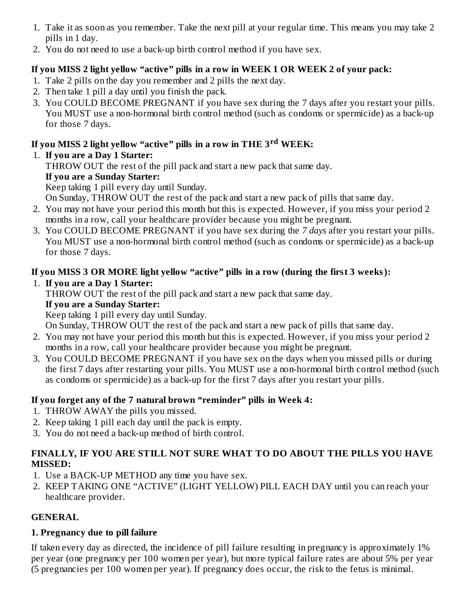- 1. Take it as soon as you remember. Take the next pill at your regular time. This means you may take 2 pills in 1 day.
- 2. You do not need to use a back-up birth control method if you have sex.

## **If you MISS 2 light yellow "active" pills in a row in WEEK 1 OR WEEK 2 of your pack:**

- 1. Take 2 pills on the day you remember and 2 pills the next day.
- 2. Then take 1 pill a day until you finish the pack.
- 3. You COULD BECOME PREGNANT if you have sex during the 7 days after you restart your pills. You MUST use a non-hormonal birth control method (such as condoms or spermicide) as a back-up for those 7 days.

# **If you MISS 2 light yellow "active" pills in a row in THE 3 WEEK: rd**

# 1. **If you are a Day 1 Starter:**

THROW OUT the rest of the pill pack and start a new pack that same day.

#### **If you are a Sunday Starter:**

Keep taking 1 pill every day until Sunday.

On Sunday, THROW OUT the rest of the pack and start a new pack of pills that same day.

- 2. You may not have your period this month but this is expected. However, if you miss your period 2 months in a row, call your healthcare provider because you might be pregnant.
- 3. You COULD BECOME PREGNANT if you have sex during the *7 days* after you restart your pills. You MUST use a non-hormonal birth control method (such as condoms or spermicide) as a back-up for those 7 days.

# **If you MISS 3 OR MORE light yellow "active" pills in a row (during the first 3 weeks):**

## 1. **If you are a Day 1 Starter:**

THROW OUT the rest of the pill pack and start a new pack that same day.

**If you are a Sunday Starter:**

Keep taking 1 pill every day until Sunday.

On Sunday, THROW OUT the rest of the pack and start a new pack of pills that same day.

- 2. You may not have your period this month but this is expected. However, if you miss your period 2 months in a row, call your healthcare provider because you might be pregnant.
- 3. You COULD BECOME PREGNANT if you have sex on the days when you missed pills or during the first 7 days after restarting your pills. You MUST use a non-hormonal birth control method (such as condoms or spermicide) as a back-up for the first 7 days after you restart your pills.

# **If you forget any of the 7 natural brown "reminder" pills in Week 4:**

- 1. THROW AWAY the pills you missed.
- 2. Keep taking 1 pill each day until the pack is empty.
- 3. You do not need a back-up method of birth control.

## **FINALLY, IF YOU ARE STILL NOT SURE WHAT TO DO ABOUT THE PILLS YOU HAVE MISSED:**

- 1. Use a BACK-UP METHOD any time you have sex.
- 2. KEEP TAKING ONE "ACTIVE" (LIGHT YELLOW) PILL EACH DAY until you can reach your healthcare provider.

# **GENERAL**

# **1. Pregnancy due to pill failure**

If taken every day as directed, the incidence of pill failure resulting in pregnancy is approximately 1% per year (one pregnancy per 100 women per year), but more typical failure rates are about 5% per year (5 pregnancies per 100 women per year). If pregnancy does occur, the risk to the fetus is minimal.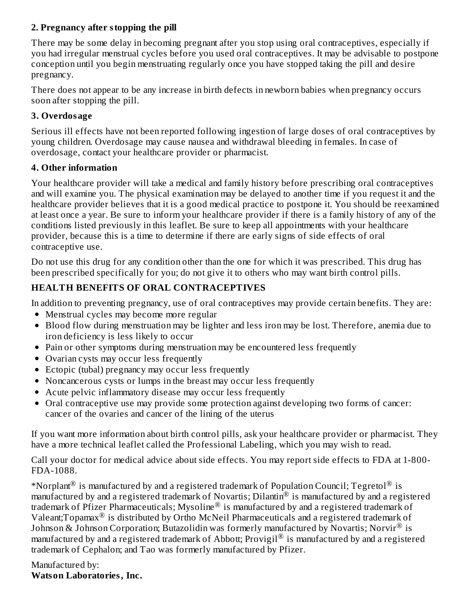## **2. Pregnancy after stopping the pill**

There may be some delay in becoming pregnant after you stop using oral contraceptives, especially if you had irregular menstrual cycles before you used oral contraceptives. It may be advisable to postpone conception until you begin menstruating regularly once you have stopped taking the pill and desire pregnancy.

There does not appear to be any increase in birth defects in newborn babies when pregnancy occurs soon after stopping the pill.

# **3. Overdosage**

Serious ill effects have not been reported following ingestion of large doses of oral contraceptives by young children. Overdosage may cause nausea and withdrawal bleeding in females. In case of overdosage, contact your healthcare provider or pharmacist.

## **4. Other information**

Your healthcare provider will take a medical and family history before prescribing oral contraceptives and will examine you. The physical examination may be delayed to another time if you request it and the healthcare provider believes that it is a good medical practice to postpone it. You should be reexamined at least once a year. Be sure to inform your healthcare provider if there is a family history of any of the conditions listed previously in this leaflet. Be sure to keep all appointments with your healthcare provider, because this is a time to determine if there are early signs of side effects of oral contraceptive use.

Do not use this drug for any condition other than the one for which it was prescribed. This drug has been prescribed specifically for you; do not give it to others who may want birth control pills.

# **HEALTH BENEFITS OF ORAL CONTRACEPTIVES**

In addition to preventing pregnancy, use of oral contraceptives may provide certain benefits. They are:

- Menstrual cycles may become more regular
- Blood flow during menstruation may be lighter and less iron may be lost. Therefore, anemia due to iron deficiency is less likely to occur
- Pain or other symptoms during menstruation may be encountered less frequently
- Ovarian cysts may occur less frequently
- Ectopic (tubal) pregnancy may occur less frequently
- Noncancerous cysts or lumps in the breast may occur less frequently
- Acute pelvic inflammatory disease may occur less frequently
- Oral contraceptive use may provide some protection against developing two forms of cancer: cancer of the ovaries and cancer of the lining of the uterus

If you want more information about birth control pills, ask your healthcare provider or pharmacist. They have a more technical leaflet called the Professional Labeling, which you may wish to read.

Call your doctor for medical advice about side effects. You may report side effects to FDA at 1-800- FDA-1088.

\*Norplant $^{\circledR}$  is manufactured by and a registered trademark of Population Council; Tegretol $^{\circledR}$  is manufactured by and a registered trademark of Novartis; Dilantin $^{\circledR}$  is manufactured by and a registered trademark of Pfizer Pharmaceuticals; Mysoline® is manufactured by and a registered trademark of Valeant; Topamax $^{\circledR}$  is distributed by Ortho McNeil Pharmaceuticals and a registered trademark of Johnson & Johnson Corporation; Butazolidin was formerly manufactured by Novartis; Norvir $^\circledR$  is manufactured by and a registered trademark of Abbott; Provigil $^{\circledR}$  is manufactured by and a registered trademark of Cephalon; and Tao was formerly manufactured by Pfizer.

# Manufactured by:

# **Watson Laboratories, Inc.**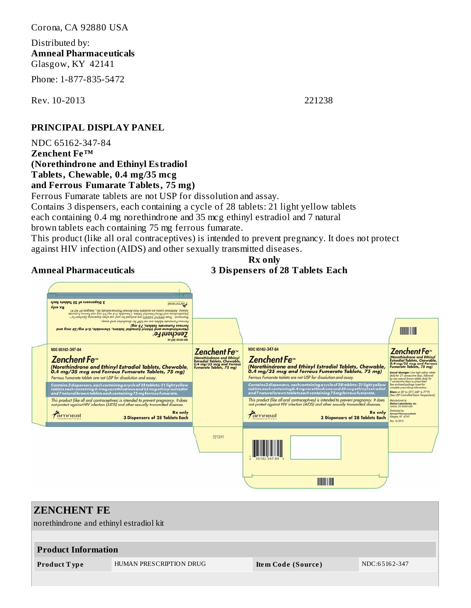Corona, CA 92880 USA

Distributed by: **Amneal Pharmaceuticals** Glasgow, KY 42141

Phone: 1-877-835-5472

Rev. 10-2013 221238

#### **PRINCIPAL DISPLAY PANEL**

NDC 65162-347-84 **Zenchent Fe™ (Norethindrone and Ethinyl Estradiol Tablets, Chewable, 0.4 mg/35 mcg and Ferrous Fumarate Tablets, 75 mg)**

Ferrous Fumarate tablets are not USP for dissolution and assay.

Contains 3 dispensers, each containing a cycle of 28 tablets: 21 light yellow tablets

each containing 0.4 mg norethindrone and 35 mcg ethinyl estradiol and 7 natural

brown tablets each containing 75 mg ferrous fumarate.

This product (like all oral contraceptives) is intended to prevent pregnancy. It does not protect against HIV infection (AIDS) and other sexually transmitted diseases.

**Rx only Amneal Pharmaceuticals 3 Dispens ers of 28 Tablets Each**

| 3 Dispensers of 28 Tablets Each<br>leanme <sup>y</sup><br><b>Kx only</b><br>TETSE YA waqasii) "ani aksitubrammifi kanma man sidalawa ene sekpo lenolibbi». [zieldo]<br>Phormocist. Three PATENT INSERTS ore extracted for your use when dispensing Senchent Formords<br>Ferrous Fumorate fablels are not USP for dissolution and assay.<br>Ferrous Funnance Tablets, 75 mg)<br>(Noresthindrone and Ethinyl Estradiol Tablets, Chewable, 0.4 mg/35 mcg and<br>Zenchent Fe<br>MDC 69162-347-84                                                                                                                                                                                                                                                  |                                                                                                         |                                                                                                                                                                                                                                                                                                                                                                                                                                                                                                                                                                                                                                                                                                                                                | <b>THE REAL</b>                                                                                                                                                                                                                                                                                                                                                                                                                                                                                                                                                                                                                  |
|-----------------------------------------------------------------------------------------------------------------------------------------------------------------------------------------------------------------------------------------------------------------------------------------------------------------------------------------------------------------------------------------------------------------------------------------------------------------------------------------------------------------------------------------------------------------------------------------------------------------------------------------------------------------------------------------------------------------------------------------------|---------------------------------------------------------------------------------------------------------|------------------------------------------------------------------------------------------------------------------------------------------------------------------------------------------------------------------------------------------------------------------------------------------------------------------------------------------------------------------------------------------------------------------------------------------------------------------------------------------------------------------------------------------------------------------------------------------------------------------------------------------------------------------------------------------------------------------------------------------------|----------------------------------------------------------------------------------------------------------------------------------------------------------------------------------------------------------------------------------------------------------------------------------------------------------------------------------------------------------------------------------------------------------------------------------------------------------------------------------------------------------------------------------------------------------------------------------------------------------------------------------|
| NDC 65162-347-84<br>Zenchent Fe <sup>™</sup><br>(Norethindrone and Ethinyl Estradiol Tablets, Chewable,<br>0.4 mg/35 mcg and Ferrous Fumarate Tablets, 75 mg)<br>Ferrous Fumarate tablets are not USP for dissolution and assay.<br>Contains 3 dispensers, each containing a cycle of 28 tablets: 21 light yellow<br>tablets each containing 0.4 mg norethindrone and 35 mcg ethinyl estradiol<br>and 7 natural brown tablets each containing 75 mg ferrous fumarate.<br>This product (like all oral contraceptives) is intended to prevent pregnancy. It does<br>not protect against HIV infection (AIDS) and other sexually transmitted diseases.<br><b>Rx</b> only<br>Tamneal<br>3 Dispensers of 28 Tablets Each<br><b>FRANKAZZZZCZZZZ</b> | Zenchent Fe™<br>(Norethindrone and Ethinyl<br>Estradiol Tablets, Chewable,<br>0.4 mg/35 mcg and Ferrous | NDC 65162-347-84<br>Zenchent Fe <sup>™</sup><br>(Norethindrone and Ethinyl Estradiol Tablets, Chewable,<br>0.4 mg/35 mcg and Ferrous Fumarate Tablets, 75 mg)<br>Ferrous Fumarate tablets are not USP for dissolution and assay.<br>Contains 3 dispensers, each containing a cycle of 28 tablets: 21 light yellow<br>tablets each containing 0.4 mg norethindrone and 35 mcg ethinyl estradiol<br>and 7 natural brown tablets each containing 75 mg ferrous fumarate.<br>This product (like all oral contraceptives) is intended to prevent preanancy. It does<br>not protect against HIV infection (AIDS) and other sexually transmitted diseases.<br><b>Rx</b> only<br><b><i><u>amneal</u></i></b><br><b>3 Dispensers of 28 Tablets Each</b> | Zenchent Fe™<br>(Norethindrone and Ethinyl<br>Estradiol Tablets, Chewable,<br>0.4 mg/35 mcg and Ferrous<br>Fumarate Tablets, 75 mg)<br><b>Usual dosage:</b> One light yellow tablet<br>daily for 21 consecutive days, followed<br>by one natural brown tablet, daily for<br>7 consecutive days as prescribed.<br>See enclosed package insert for<br>complete prescribing information.<br>Store of 20" to 25"C (68" to 77"F)<br>[See USP Controlled Room Temperature].<br>Manufactured by:<br>Watson Laboratories, Inc.<br>Corona, CA 92880 USA<br>Distributed by:<br>Amneal Pharmaceuticals<br>Glasgow, KY 42141<br>Rev. 10-2013 |
|                                                                                                                                                                                                                                                                                                                                                                                                                                                                                                                                                                                                                                                                                                                                               | 221241                                                                                                  | <u> Hillian III</u>                                                                                                                                                                                                                                                                                                                                                                                                                                                                                                                                                                                                                                                                                                                            |                                                                                                                                                                                                                                                                                                                                                                                                                                                                                                                                                                                                                                  |

| <b>ZENCHENT FE</b>                      |                         |                    |               |  |  |  |  |  |
|-----------------------------------------|-------------------------|--------------------|---------------|--|--|--|--|--|
| norethindrone and ethinyl estradiol kit |                         |                    |               |  |  |  |  |  |
|                                         |                         |                    |               |  |  |  |  |  |
| <b>Product Information</b>              |                         |                    |               |  |  |  |  |  |
| <b>Product Type</b>                     | HUMAN PRESCRIPTION DRUG | Item Code (Source) | NDC:65162-347 |  |  |  |  |  |
|                                         |                         |                    |               |  |  |  |  |  |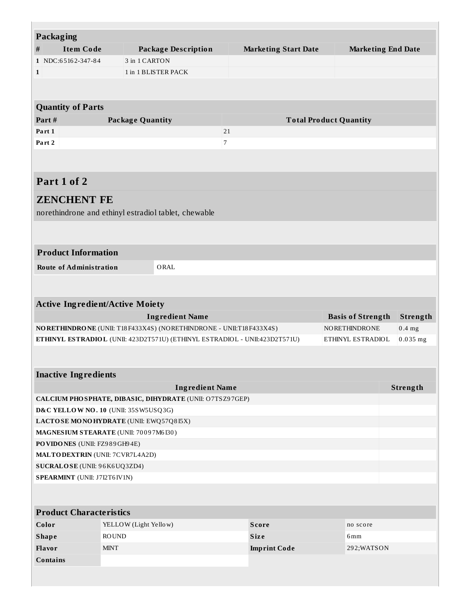|                                             | Packaging                                                               |                         |                            |                                                                            |                               |                           |  |  |  |
|---------------------------------------------|-------------------------------------------------------------------------|-------------------------|----------------------------|----------------------------------------------------------------------------|-------------------------------|---------------------------|--|--|--|
|                                             |                                                                         |                         |                            |                                                                            |                               |                           |  |  |  |
| #                                           | <b>Item Code</b>                                                        |                         | <b>Package Description</b> | <b>Marketing Start Date</b>                                                |                               | <b>Marketing End Date</b> |  |  |  |
|                                             | 1 NDC:65162-347-84                                                      | 3 in 1 CARTON           | 1 in 1 BLISTER PACK        |                                                                            |                               |                           |  |  |  |
| $\mathbf{1}$                                |                                                                         |                         |                            |                                                                            |                               |                           |  |  |  |
|                                             |                                                                         |                         |                            |                                                                            |                               |                           |  |  |  |
|                                             | <b>Quantity of Parts</b>                                                |                         |                            |                                                                            |                               |                           |  |  |  |
|                                             | Part #                                                                  | <b>Package Quantity</b> |                            |                                                                            | <b>Total Product Quantity</b> |                           |  |  |  |
|                                             | Part 1                                                                  |                         |                            | 21                                                                         |                               |                           |  |  |  |
|                                             | Part 2                                                                  |                         |                            | $\boldsymbol{7}$                                                           |                               |                           |  |  |  |
|                                             |                                                                         |                         |                            |                                                                            |                               |                           |  |  |  |
|                                             | Part 1 of 2                                                             |                         |                            |                                                                            |                               |                           |  |  |  |
|                                             | <b>ZENCHENT FE</b>                                                      |                         |                            |                                                                            |                               |                           |  |  |  |
|                                             | norethindrone and ethinyl estradiol tablet, chewable                    |                         |                            |                                                                            |                               |                           |  |  |  |
|                                             |                                                                         |                         |                            |                                                                            |                               |                           |  |  |  |
|                                             | <b>Product Information</b>                                              |                         |                            |                                                                            |                               |                           |  |  |  |
|                                             | <b>Route of Administration</b>                                          |                         | ORAL                       |                                                                            |                               |                           |  |  |  |
|                                             |                                                                         |                         |                            |                                                                            |                               |                           |  |  |  |
|                                             |                                                                         |                         |                            |                                                                            |                               |                           |  |  |  |
|                                             | <b>Active Ingredient/Active Moiety</b>                                  |                         |                            |                                                                            |                               |                           |  |  |  |
|                                             |                                                                         |                         | <b>Ingredient Name</b>     |                                                                            | <b>Basis of Strength</b>      | Strength                  |  |  |  |
|                                             | NO RETHINDRO NE (UNII: T18 F433X4S) (NO RETHINDRONE - UNII:T18 F433X4S) |                         |                            |                                                                            | <b>NORETHINDRONE</b>          | $0.4$ mg                  |  |  |  |
|                                             |                                                                         |                         |                            | ETHINYL ESTRADIOL (UNII: 423D2T571U) (ETHINYL ESTRADIOL - UNII:423D2T571U) | ETHINYL ESTRADIOL             | 0.035 mg                  |  |  |  |
|                                             |                                                                         |                         |                            |                                                                            |                               |                           |  |  |  |
|                                             | <b>Inactive Ingredients</b>                                             |                         |                            |                                                                            |                               |                           |  |  |  |
|                                             |                                                                         |                         | <b>Ingredient Name</b>     |                                                                            |                               | Strength                  |  |  |  |
|                                             | CALCIUM PHO SPHATE, DIBASIC, DIHYDRATE (UNII: O7TSZ97GEP)               |                         |                            |                                                                            |                               |                           |  |  |  |
|                                             | D&C YELLOW NO. 10 (UNII: 35SW5USQ3G)                                    |                         |                            |                                                                            |                               |                           |  |  |  |
|                                             | LACTOSE MONOHYDRATE (UNII: EWQ57Q8I5X)                                  |                         |                            |                                                                            |                               |                           |  |  |  |
|                                             | MAGNESIUM STEARATE (UNII: 70097M6I30)                                   |                         |                            |                                                                            |                               |                           |  |  |  |
|                                             | PO VIDONES (UNII: FZ989GH94E)                                           |                         |                            |                                                                            |                               |                           |  |  |  |
|                                             | <b>MALTODEXTRIN</b> (UNII: 7CVR7L4A2D)                                  |                         |                            |                                                                            |                               |                           |  |  |  |
| SUCRALOSE (UNII: 96K6UQ3ZD4)                |                                                                         |                         |                            |                                                                            |                               |                           |  |  |  |
|                                             | <b>SPEARMINT</b> (UNII: J7I2T6 IV1N)                                    |                         |                            |                                                                            |                               |                           |  |  |  |
|                                             |                                                                         |                         |                            |                                                                            |                               |                           |  |  |  |
|                                             | <b>Product Characteristics</b>                                          |                         |                            |                                                                            |                               |                           |  |  |  |
|                                             | Color                                                                   | YELLOW (Light Yellow)   |                            | <b>Score</b>                                                               | no score                      |                           |  |  |  |
| <b>ROUND</b><br><b>Shape</b><br>Size<br>6mm |                                                                         |                         |                            |                                                                            |                               |                           |  |  |  |
|                                             | Flavor<br><b>MINT</b>                                                   |                         |                            | <b>Imprint Code</b>                                                        | 292; WATSON                   |                           |  |  |  |
|                                             | Contains                                                                |                         |                            |                                                                            |                               |                           |  |  |  |
|                                             |                                                                         |                         |                            |                                                                            |                               |                           |  |  |  |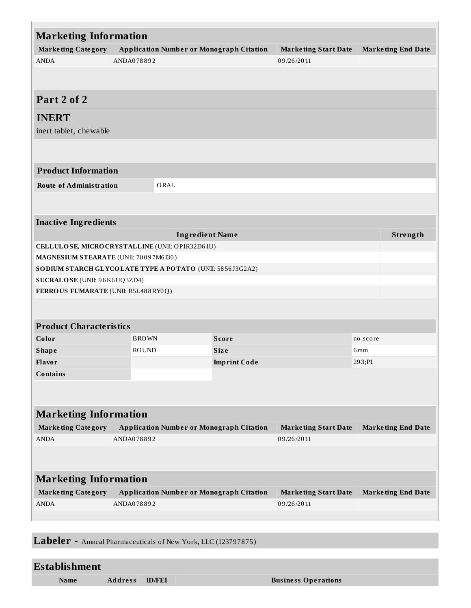| <b>Marketing Information</b>                                                 |                                                 |                                                 |                             |                             |                           |  |  |  |  |
|------------------------------------------------------------------------------|-------------------------------------------------|-------------------------------------------------|-----------------------------|-----------------------------|---------------------------|--|--|--|--|
| <b>Marketing Category</b>                                                    | <b>Application Number or Monograph Citation</b> |                                                 |                             | <b>Marketing Start Date</b> | <b>Marketing End Date</b> |  |  |  |  |
| ANDA                                                                         | ANDA078892                                      |                                                 |                             | 09/26/2011                  |                           |  |  |  |  |
|                                                                              |                                                 |                                                 |                             |                             |                           |  |  |  |  |
| Part 2 of 2                                                                  |                                                 |                                                 |                             |                             |                           |  |  |  |  |
| <b>INERT</b><br>inert tablet, chewable                                       |                                                 |                                                 |                             |                             |                           |  |  |  |  |
|                                                                              |                                                 |                                                 |                             |                             |                           |  |  |  |  |
| <b>Product Information</b>                                                   |                                                 |                                                 |                             |                             |                           |  |  |  |  |
| <b>Route of Administration</b>                                               |                                                 | ORAL                                            |                             |                             |                           |  |  |  |  |
|                                                                              |                                                 |                                                 |                             |                             |                           |  |  |  |  |
| <b>Inactive Ingredients</b>                                                  |                                                 |                                                 |                             |                             |                           |  |  |  |  |
|                                                                              |                                                 | <b>Ingredient Name</b>                          |                             |                             | Strength                  |  |  |  |  |
| CELLULOSE, MICRO CRYSTALLINE (UNII: OP1R32D61U)                              |                                                 |                                                 |                             |                             |                           |  |  |  |  |
| MAGNESIUM STEARATE (UNII: 70097M6I30)                                        |                                                 |                                                 |                             |                             |                           |  |  |  |  |
| SODIUM STARCH GLYCOLATE TYPE A POTATO (UNII: 5856J3G2A2)                     |                                                 |                                                 |                             |                             |                           |  |  |  |  |
| SUCRALOSE (UNII: 96K6UQ3ZD4)                                                 |                                                 |                                                 |                             |                             |                           |  |  |  |  |
| FERROUS FUMARATE (UNII: R5L488RY0Q)                                          |                                                 |                                                 |                             |                             |                           |  |  |  |  |
|                                                                              |                                                 |                                                 |                             |                             |                           |  |  |  |  |
| <b>Product Characteristics</b>                                               |                                                 |                                                 |                             |                             |                           |  |  |  |  |
| Color                                                                        | <b>BROWN</b>                                    |                                                 | <b>Score</b>                |                             | no score                  |  |  |  |  |
| <b>Shape</b>                                                                 | <b>ROUND</b>                                    |                                                 | <b>Size</b>                 |                             | 6 <sub>mm</sub>           |  |  |  |  |
| <b>Flavor</b>                                                                |                                                 |                                                 | <b>Imprint Code</b>         |                             | 293;P1                    |  |  |  |  |
| <b>Contains</b>                                                              |                                                 |                                                 |                             |                             |                           |  |  |  |  |
|                                                                              |                                                 |                                                 |                             |                             |                           |  |  |  |  |
| <b>Marketing Information</b>                                                 |                                                 |                                                 |                             |                             |                           |  |  |  |  |
| <b>Marketing Category</b><br><b>Application Number or Monograph Citation</b> |                                                 |                                                 | <b>Marketing Start Date</b> | <b>Marketing End Date</b>   |                           |  |  |  |  |
| <b>ANDA</b>                                                                  | ANDA078892<br>09/26/2011                        |                                                 |                             |                             |                           |  |  |  |  |
|                                                                              |                                                 |                                                 |                             |                             |                           |  |  |  |  |
| <b>Marketing Information</b>                                                 |                                                 |                                                 |                             |                             |                           |  |  |  |  |
| <b>Marketing Category</b>                                                    |                                                 | <b>Application Number or Monograph Citation</b> |                             | <b>Marketing Start Date</b> | <b>Marketing End Date</b> |  |  |  |  |
| <b>ANDA</b>                                                                  | ANDA078892                                      |                                                 |                             | 09/26/2011                  |                           |  |  |  |  |
|                                                                              |                                                 |                                                 |                             |                             |                           |  |  |  |  |

**Labeler -** Amneal Pharmaceuticals of New York, LLC (123797875)

# **Establishment Name Address ID/FEI Business Operations**